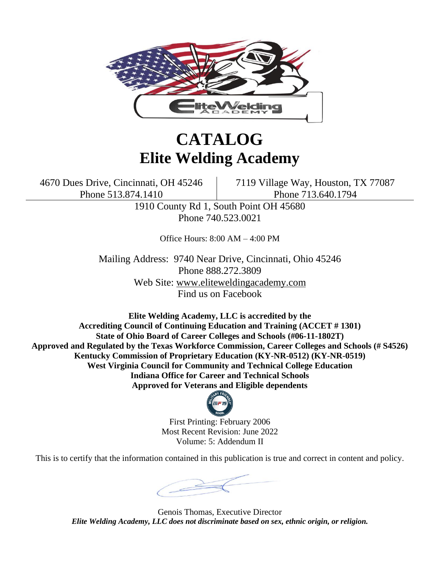

# **CATALOG Elite Welding Academy**

4670 Dues Drive, Cincinnati, OH 45246 7119 Village Way, Houston, TX 77087 Phone 513.874.1410 **Phone 713.640.1794** 

> 1910 County Rd 1, South Point OH 45680 Phone 740.523.0021

> > Office Hours: 8:00 AM – 4:00 PM

Mailing Address: 9740 Near Drive, Cincinnati, Ohio 45246 Phone 888.272.3809 Web Site: www.eliteweldingacademy.com Find us on Facebook

**Elite Welding Academy, LLC is accredited by the Accrediting Council of Continuing Education and Training (ACCET # 1301) State of Ohio Board of Career Colleges and Schools (#06-11-1802T) Approved and Regulated by the Texas Workforce Commission, Career Colleges and Schools (# S4526) Kentucky Commission of Proprietary Education (KY-NR-0512) (KY-NR-0519) West Virginia Council for Community and Technical College Education Indiana Office for Career and Technical Schools Approved for Veterans and Eligible dependents**



First Printing: February 2006 Most Recent Revision: June 2022 Volume: 5: Addendum II

This is to certify that the information contained in this publication is true and correct in content and policy.

Genois Thomas, Executive Director *Elite Welding Academy, LLC does not discriminate based on sex, ethnic origin, or religion.*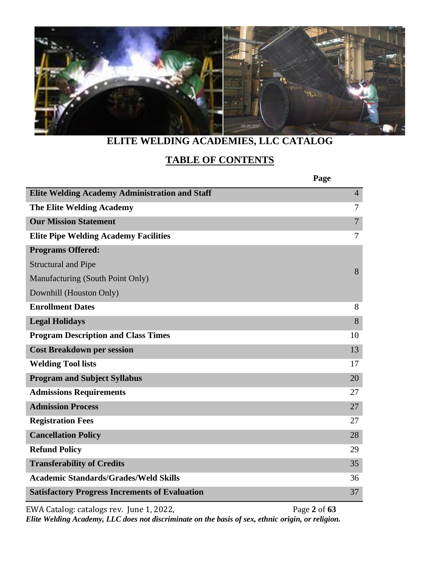

# **ELITE WELDING ACADEMIES, LLC CATALOG**

# **TABLE OF CONTENTS**

|                                                       | Page           |
|-------------------------------------------------------|----------------|
| <b>Elite Welding Academy Administration and Staff</b> | $\overline{4}$ |
| <b>The Elite Welding Academy</b>                      | 7              |
| <b>Our Mission Statement</b>                          | $\overline{7}$ |
| <b>Elite Pipe Welding Academy Facilities</b>          | 7              |
| <b>Programs Offered:</b>                              |                |
| <b>Structural and Pipe</b>                            | 8              |
| Manufacturing (South Point Only)                      |                |
| Downhill (Houston Only)                               |                |
| <b>Enrollment Dates</b>                               | 8              |
| <b>Legal Holidays</b>                                 | 8              |
| <b>Program Description and Class Times</b>            | 10             |
| <b>Cost Breakdown per session</b>                     | 13             |
| <b>Welding Tool lists</b>                             | 17             |
| <b>Program and Subject Syllabus</b>                   | 20             |
| <b>Admissions Requirements</b>                        | 27             |
| <b>Admission Process</b>                              | 27             |
| <b>Registration Fees</b>                              | 27             |
| <b>Cancellation Policy</b>                            | 28             |
| <b>Refund Policy</b>                                  | 29             |
| <b>Transferability of Credits</b>                     | 35             |
| <b>Academic Standards/Grades/Weld Skills</b>          | 36             |
| <b>Satisfactory Progress Increments of Evaluation</b> | 37             |

EWA Catalog: catalogs rev. June 1, 2022, Page 2 of 63

*Elite Welding Academy, LLC does not discriminate on the basis of sex, ethnic origin, or religion.*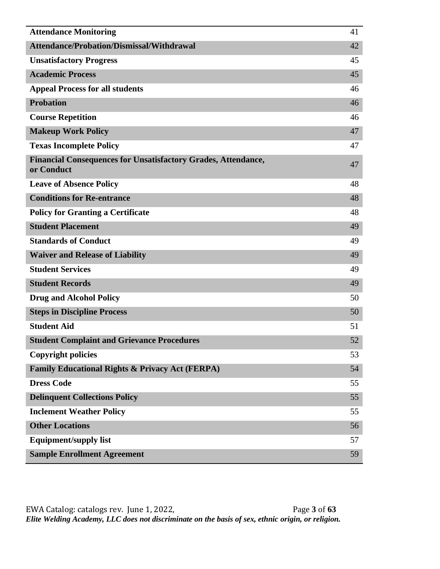| <b>Attendance Monitoring</b>                                                       | 41 |
|------------------------------------------------------------------------------------|----|
| Attendance/Probation/Dismissal/Withdrawal                                          | 42 |
| <b>Unsatisfactory Progress</b>                                                     | 45 |
| <b>Academic Process</b>                                                            | 45 |
| <b>Appeal Process for all students</b>                                             | 46 |
| <b>Probation</b>                                                                   | 46 |
| <b>Course Repetition</b>                                                           | 46 |
| <b>Makeup Work Policy</b>                                                          | 47 |
| <b>Texas Incomplete Policy</b>                                                     | 47 |
| <b>Financial Consequences for Unsatisfactory Grades, Attendance,</b><br>or Conduct | 47 |
| <b>Leave of Absence Policy</b>                                                     | 48 |
| <b>Conditions for Re-entrance</b>                                                  | 48 |
| <b>Policy for Granting a Certificate</b>                                           | 48 |
| <b>Student Placement</b>                                                           | 49 |
| <b>Standards of Conduct</b>                                                        | 49 |
| <b>Waiver and Release of Liability</b>                                             | 49 |
| <b>Student Services</b>                                                            | 49 |
| <b>Student Records</b>                                                             | 49 |
| <b>Drug and Alcohol Policy</b>                                                     | 50 |
| <b>Steps in Discipline Process</b>                                                 | 50 |
| <b>Student Aid</b>                                                                 | 51 |
| <b>Student Complaint and Grievance Procedures</b>                                  | 52 |
| <b>Copyright policies</b>                                                          | 53 |
| <b>Family Educational Rights &amp; Privacy Act (FERPA)</b>                         | 54 |
| <b>Dress Code</b>                                                                  | 55 |
| <b>Delinquent Collections Policy</b>                                               | 55 |
| <b>Inclement Weather Policy</b>                                                    | 55 |
| <b>Other Locations</b>                                                             | 56 |
| <b>Equipment/supply list</b>                                                       | 57 |
| <b>Sample Enrollment Agreement</b>                                                 | 59 |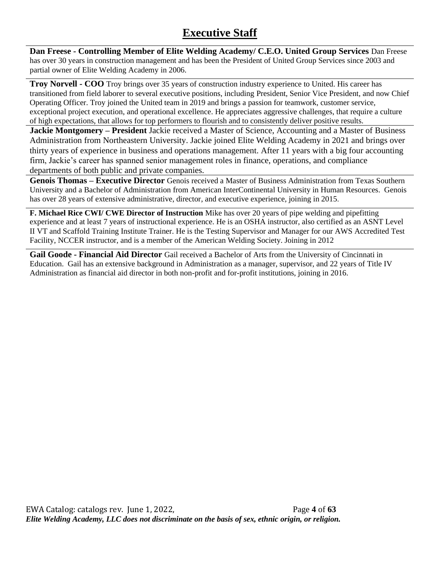# **Executive Staff**

**Dan Freese - Controlling Member of Elite Welding Academy/ C.E.O. United Group Services** Dan Freese has over 30 years in construction management and has been the President of United Group Services since 2003 and partial owner of Elite Welding Academy in 2006.

**Troy Norvell - COO** Troy brings over 35 years of construction industry experience to United. His career has transitioned from field laborer to several executive positions, including President, Senior Vice President, and now Chief Operating Officer. Troy joined the United team in 2019 and brings a passion for teamwork, customer service, exceptional project execution, and operational excellence. He appreciates aggressive challenges, that require a culture of high expectations, that allows for top performers to flourish and to consistently deliver positive results.

**Jackie Montgomery – President** Jackie received a Master of Science, Accounting and a Master of Business Administration from Northeastern University. Jackie joined Elite Welding Academy in 2021 and brings over thirty years of experience in business and operations management. After 11 years with a big four accounting firm, Jackie's career has spanned senior management roles in finance, operations, and compliance departments of both public and private companies.

**Genois Thomas – Executive Director** Genois received a Master of Business Administration from Texas Southern University and a Bachelor of Administration from American InterContinental University in Human Resources. Genois has over 28 years of extensive administrative, director, and executive experience, joining in 2015.

**F. Michael Rice CWI/ CWE Director of Instruction** Mike has over 20 years of pipe welding and pipefitting experience and at least 7 years of instructional experience. He is an OSHA instructor, also certified as an ASNT Level II VT and Scaffold Training Institute Trainer. He is the Testing Supervisor and Manager for our AWS Accredited Test Facility, NCCER instructor, and is a member of the American Welding Society. Joining in 2012

**Gail Goode - Financial Aid Director** Gail received a Bachelor of Arts from the University of Cincinnati in Education. Gail has an extensive background in Administration as a manager, supervisor, and 22 years of Title IV Administration as financial aid director in both non-profit and for-profit institutions, joining in 2016.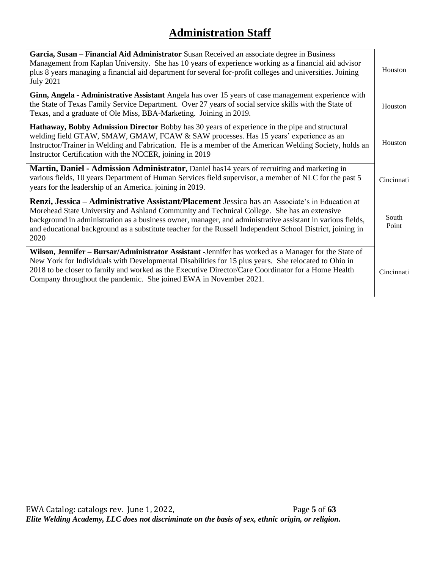# **Administration Staff**

| Garcia, Susan – Financial Aid Administrator Susan Received an associate degree in Business<br>Management from Kaplan University. She has 10 years of experience working as a financial aid advisor<br>plus 8 years managing a financial aid department for several for-profit colleges and universities. Joining<br><b>July 2021</b>                                                                                              | Houston        |
|-----------------------------------------------------------------------------------------------------------------------------------------------------------------------------------------------------------------------------------------------------------------------------------------------------------------------------------------------------------------------------------------------------------------------------------|----------------|
| Ginn, Angela - Administrative Assistant Angela has over 15 years of case management experience with<br>the State of Texas Family Service Department. Over 27 years of social service skills with the State of<br>Texas, and a graduate of Ole Miss, BBA-Marketing. Joining in 2019.                                                                                                                                               | Houston        |
| Hathaway, Bobby Admission Director Bobby has 30 years of experience in the pipe and structural<br>welding field GTAW, SMAW, GMAW, FCAW & SAW processes. Has 15 years' experience as an<br>Instructor/Trainer in Welding and Fabrication. He is a member of the American Welding Society, holds an<br>Instructor Certification with the NCCER, joining in 2019                                                                     | Houston        |
| Martin, Daniel - Admission Administrator, Daniel has 14 years of recruiting and marketing in<br>various fields, 10 years Department of Human Services field supervisor, a member of NLC for the past 5<br>years for the leadership of an America. joining in 2019.                                                                                                                                                                | Cincinnati     |
| Renzi, Jessica - Administrative Assistant/Placement Jessica has an Associate's in Education at<br>Morehead State University and Ashland Community and Technical College. She has an extensive<br>background in administration as a business owner, manager, and administrative assistant in various fields,<br>and educational background as a substitute teacher for the Russell Independent School District, joining in<br>2020 | South<br>Point |
| Wilson, Jennifer - Bursar/Administrator Assistant - Jennifer has worked as a Manager for the State of<br>New York for Individuals with Developmental Disabilities for 15 plus years. She relocated to Ohio in<br>2018 to be closer to family and worked as the Executive Director/Care Coordinator for a Home Health<br>Company throughout the pandemic. She joined EWA in November 2021.                                         | Cincinnati     |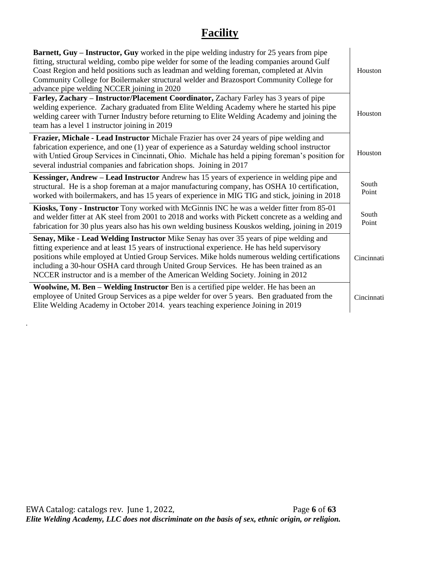# **Facility**

| <b>Barnett, Guy – Instructor, Guy</b> worked in the pipe welding industry for 25 years from pipe<br>fitting, structural welding, combo pipe welder for some of the leading companies around Gulf<br>Coast Region and held positions such as leadman and welding foreman, completed at Alvin<br>Community College for Boilermaker structural welder and Brazosport Community College for<br>advance pipe welding NCCER joining in 2020                                   | Houston        |
|-------------------------------------------------------------------------------------------------------------------------------------------------------------------------------------------------------------------------------------------------------------------------------------------------------------------------------------------------------------------------------------------------------------------------------------------------------------------------|----------------|
| Farley, Zachary - Instructor/Placement Coordinator, Zachary Farley has 3 years of pipe<br>welding experience. Zachary graduated from Elite Welding Academy where he started his pipe<br>welding career with Turner Industry before returning to Elite Welding Academy and joining the<br>team has a level 1 instructor joining in 2019                                                                                                                                  | Houston        |
| Frazier, Michale - Lead Instructor Michale Frazier has over 24 years of pipe welding and<br>fabrication experience, and one (1) year of experience as a Saturday welding school instructor<br>with Untied Group Services in Cincinnati, Ohio. Michale has held a piping foreman's position for<br>several industrial companies and fabrication shops. Joining in 2017                                                                                                   | Houston        |
| Kessinger, Andrew – Lead Instructor Andrew has 15 years of experience in welding pipe and<br>structural. He is a shop foreman at a major manufacturing company, has OSHA 10 certification,<br>worked with boilermakers, and has 15 years of experience in MIG TIG and stick, joining in 2018                                                                                                                                                                            | South<br>Point |
| Kiosks, Tony - Instructor Tony worked with McGinnis INC he was a welder fitter from 85-01<br>and welder fitter at AK steel from 2001 to 2018 and works with Pickett concrete as a welding and<br>fabrication for 30 plus years also has his own welding business Kouskos welding, joining in 2019                                                                                                                                                                       | South<br>Point |
| Senay, Mike - Lead Welding Instructor Mike Senay has over 35 years of pipe welding and<br>fitting experience and at least 15 years of instructional experience. He has held supervisory<br>positions while employed at Untied Group Services. Mike holds numerous welding certifications<br>including a 30-hour OSHA card through United Group Services. He has been trained as an<br>NCCER instructor and is a member of the American Welding Society. Joining in 2012 | Cincinnati     |
| Woolwine, M. Ben – Welding Instructor Ben is a certified pipe welder. He has been an<br>employee of United Group Services as a pipe welder for over 5 years. Ben graduated from the<br>Elite Welding Academy in October 2014. years teaching experience Joining in 2019                                                                                                                                                                                                 | Cincinnati     |

.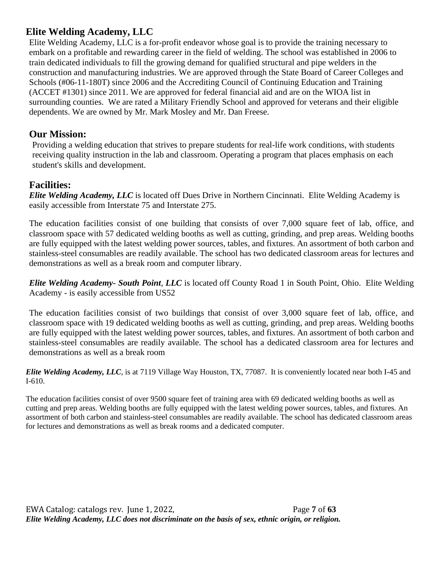## **Elite Welding Academy, LLC**

Elite Welding Academy, LLC is a for-profit endeavor whose goal is to provide the training necessary to embark on a profitable and rewarding career in the field of welding. The school was established in 2006 to train dedicated individuals to fill the growing demand for qualified structural and pipe welders in the construction and manufacturing industries. We are approved through the State Board of Career Colleges and Schools (#06-11-180T) since 2006 and the Accrediting Council of Continuing Education and Training (ACCET #1301) since 2011. We are approved for federal financial aid and are on the WIOA list in surrounding counties. We are rated a Military Friendly School and approved for veterans and their eligible dependents. We are owned by Mr. Mark Mosley and Mr. Dan Freese.

#### **Our Mission:**

Providing a welding education that strives to prepare students for real-life work conditions, with students receiving quality instruction in the lab and classroom. Operating a program that places emphasis on each student's skills and development.

## **Facilities:**

*Elite Welding Academy, LLC* is located off Dues Drive in Northern Cincinnati. Elite Welding Academy is easily accessible from Interstate 75 and Interstate 275.

The education facilities consist of one building that consists of over 7,000 square feet of lab, office, and classroom space with 57 dedicated welding booths as well as cutting, grinding, and prep areas. Welding booths are fully equipped with the latest welding power sources, tables, and fixtures. An assortment of both carbon and stainless-steel consumables are readily available. The school has two dedicated classroom areas for lectures and demonstrations as well as a break room and computer library.

*Elite Welding Academy- South Point*, *LLC* is located off County Road 1 in South Point, Ohio. Elite Welding Academy - is easily accessible from US52

The education facilities consist of two buildings that consist of over 3,000 square feet of lab, office, and classroom space with 19 dedicated welding booths as well as cutting, grinding, and prep areas. Welding booths are fully equipped with the latest welding power sources, tables, and fixtures. An assortment of both carbon and stainless-steel consumables are readily available. The school has a dedicated classroom area for lectures and demonstrations as well as a break room

*Elite Welding Academy, LLC*, is at 7119 Village Way Houston, TX, 77087. It is conveniently located near both I-45 and I-610.

The education facilities consist of over 9500 square feet of training area with 69 dedicated welding booths as well as cutting and prep areas. Welding booths are fully equipped with the latest welding power sources, tables, and fixtures. An assortment of both carbon and stainless-steel consumables are readily available. The school has dedicated classroom areas for lectures and demonstrations as well as break rooms and a dedicated computer.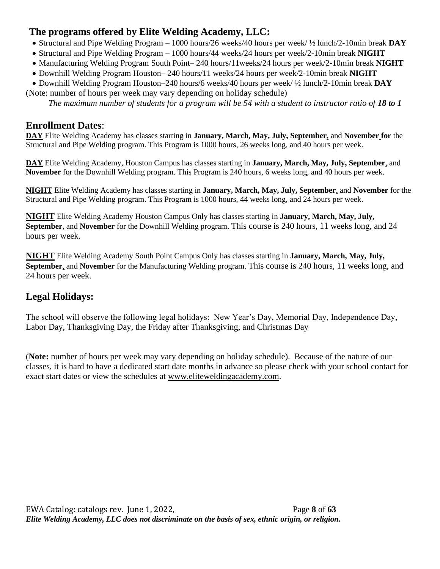# **The programs offered by Elite Welding Academy, LLC:**

- Structural and Pipe Welding Program 1000 hours/26 weeks/40 hours per week/ ½ lunch/2-10min break **DAY**
- Structural and Pipe Welding Program 1000 hours/44 weeks/24 hours per week/2-10min break **NIGHT**
- Manufacturing Welding Program South Point– 240 hours/11weeks/24 hours per week/2-10min break **NIGHT**
- Downhill Welding Program Houston– 240 hours/11 weeks/24 hours per week/2-10min break **NIGHT**
- Downhill Welding Program Houston–240 hours/6 weeks/40 hours per week/ ½ lunch/2-10min break **DAY** (Note: number of hours per week may vary depending on holiday schedule)

*The maximum number of students for a program will be 54 with a student to instructor ratio of 18 to 1* 

#### **Enrollment Dates**:

**DAY** Elite Welding Academy has classes starting in **January, March, May, July, September**, and **November for** the Structural and Pipe Welding program. This Program is 1000 hours, 26 weeks long, and 40 hours per week.

**DAY** Elite Welding Academy, Houston Campus has classes starting in **January, March, May, July, September**, and **November** for the Downhill Welding program. This Program is 240 hours, 6 weeks long, and 40 hours per week.

**NIGHT** Elite Welding Academy has classes starting in **January, March, May, July, September**, and **November** for the Structural and Pipe Welding program. This Program is 1000 hours, 44 weeks long, and 24 hours per week.

**NIGHT** Elite Welding Academy Houston Campus Only has classes starting in **January, March, May, July, September**, and **November** for the Downhill Welding program. This course is 240 hours, 11 weeks long, and 24 hours per week.

**NIGHT** Elite Welding Academy South Point Campus Only has classes starting in **January, March, May, July, September**, and **November** for the Manufacturing Welding program. This course is 240 hours, 11 weeks long, and 24 hours per week.

# **Legal Holidays:**

The school will observe the following legal holidays: New Year's Day, Memorial Day, Independence Day, Labor Day, Thanksgiving Day, the Friday after Thanksgiving, and Christmas Day

(**Note:** number of hours per week may vary depending on holiday schedule). Because of the nature of our classes, it is hard to have a dedicated start date months in advance so please check with your school contact for exact start dates or view the schedules at [www.eliteweldingacademy.com.](http://www.eliteweldingacademy.com/)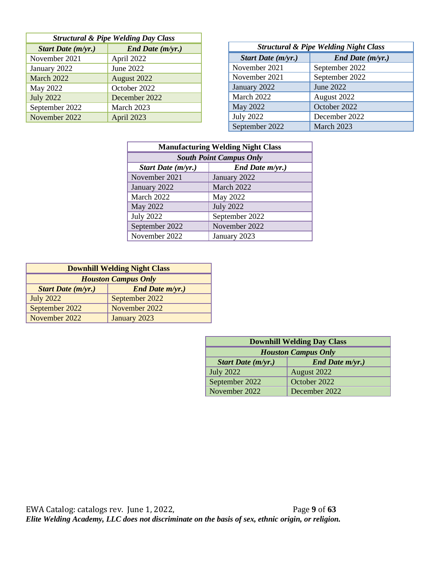| <b>Structural &amp; Pipe Welding Day Class</b> |                  |  |
|------------------------------------------------|------------------|--|
| Start Date (m/yr.)                             | End Date (m/yr.) |  |
| November 2021                                  | April 2022       |  |
| January 2022                                   | June 2022        |  |
| March 2022                                     | August 2022      |  |
| May 2022                                       | October 2022     |  |
| <b>July 2022</b>                               | December 2022    |  |
| September 2022                                 | March 2023       |  |
| November 2022                                  | April 2023       |  |

| <b>Structural &amp; Pipe Welding Night Class</b> |                  |  |
|--------------------------------------------------|------------------|--|
| Start Date (m/yr.)                               | End Date (m/yr.) |  |
| November 2021                                    | September 2022   |  |
| November 2021                                    | September 2022   |  |
| January 2022                                     | June 2022        |  |
| March 2022                                       | August 2022      |  |
| May 2022                                         | October 2022     |  |
| <b>July 2022</b>                                 | December 2022    |  |
| September 2022                                   | March 2023       |  |

| <b>Manufacturing Welding Night Class</b> |                  |  |
|------------------------------------------|------------------|--|
| <b>South Point Campus Only</b>           |                  |  |
| Start Date $(m/yr.)$                     | End Date m/yr.)  |  |
| November 2021                            | January 2022     |  |
| January 2022                             | March 2022       |  |
| March 2022                               | May 2022         |  |
| May 2022                                 | <b>July 2022</b> |  |
| <b>July 2022</b>                         | September 2022   |  |
| September 2022                           | November 2022    |  |
| November 2022                            | January 2023     |  |

| <b>Downhill Welding Night Class</b>                 |                |  |  |
|-----------------------------------------------------|----------------|--|--|
| <b>Houston Campus Only</b>                          |                |  |  |
| <b>Start Date (m/yr.)</b><br><b>End Date m/yr.)</b> |                |  |  |
| <b>July 2022</b>                                    | September 2022 |  |  |
| September 2022                                      | November 2022  |  |  |
| November 2022                                       | January 2023   |  |  |

| <b>Downhill Welding Day Class</b>                   |               |  |
|-----------------------------------------------------|---------------|--|
| <b>Houston Campus Only</b>                          |               |  |
| <b>End Date m/yr.)</b><br><b>Start Date (m/yr.)</b> |               |  |
| <b>July 2022</b>                                    | August 2022   |  |
| September 2022                                      | October 2022  |  |
| November 2022                                       | December 2022 |  |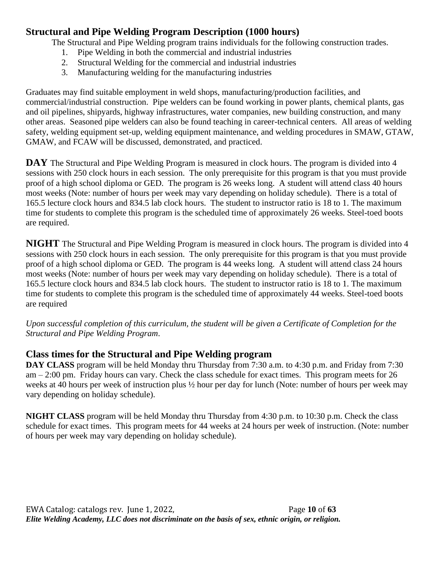## **Structural and Pipe Welding Program Description (1000 hours)**

The Structural and Pipe Welding program trains individuals for the following construction trades.

- 1. Pipe Welding in both the commercial and industrial industries
- 2. Structural Welding for the commercial and industrial industries
- 3. Manufacturing welding for the manufacturing industries

Graduates may find suitable employment in weld shops, manufacturing/production facilities, and commercial/industrial construction. Pipe welders can be found working in power plants, chemical plants, gas and oil pipelines, shipyards, highway infrastructures, water companies, new building construction, and many other areas. Seasoned pipe welders can also be found teaching in career-technical centers. All areas of welding safety, welding equipment set-up, welding equipment maintenance, and welding procedures in SMAW, GTAW, GMAW, and FCAW will be discussed, demonstrated, and practiced.

**DAY** The Structural and Pipe Welding Program is measured in clock hours. The program is divided into 4 sessions with 250 clock hours in each session. The only prerequisite for this program is that you must provide proof of a high school diploma or GED. The program is 26 weeks long. A student will attend class 40 hours most weeks (Note: number of hours per week may vary depending on holiday schedule). There is a total of 165.5 lecture clock hours and 834.5 lab clock hours. The student to instructor ratio is 18 to 1. The maximum time for students to complete this program is the scheduled time of approximately 26 weeks. Steel-toed boots are required.

**NIGHT** The Structural and Pipe Welding Program is measured in clock hours. The program is divided into 4 sessions with 250 clock hours in each session. The only prerequisite for this program is that you must provide proof of a high school diploma or GED. The program is 44 weeks long. A student will attend class 24 hours most weeks (Note: number of hours per week may vary depending on holiday schedule). There is a total of 165.5 lecture clock hours and 834.5 lab clock hours. The student to instructor ratio is 18 to 1. The maximum time for students to complete this program is the scheduled time of approximately 44 weeks. Steel-toed boots are required

*Upon successful completion of this curriculum, the student will be given a Certificate of Completion for the Structural and Pipe Welding Program*.

# **Class times for the Structural and Pipe Welding program**

**DAY CLASS** program will be held Monday thru Thursday from 7:30 a.m. to 4:30 p.m. and Friday from 7:30 am – 2:00 pm. Friday hours can vary. Check the class schedule for exact times. This program meets for 26 weeks at 40 hours per week of instruction plus ½ hour per day for lunch (Note: number of hours per week may vary depending on holiday schedule).

**NIGHT CLASS** program will be held Monday thru Thursday from 4:30 p.m. to 10:30 p.m. Check the class schedule for exact times. This program meets for 44 weeks at 24 hours per week of instruction. (Note: number of hours per week may vary depending on holiday schedule).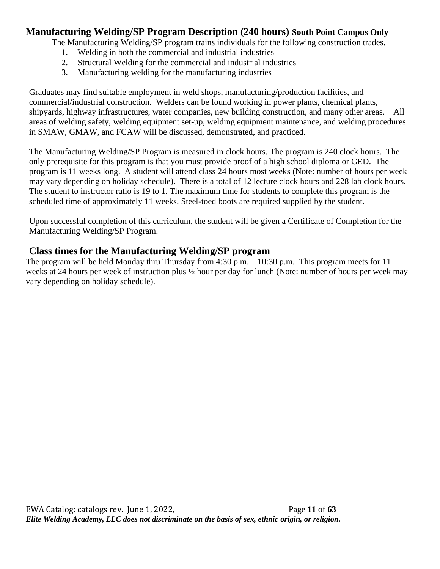#### **Manufacturing Welding/SP Program Description (240 hours) South Point Campus Only**

The Manufacturing Welding/SP program trains individuals for the following construction trades.

- 1. Welding in both the commercial and industrial industries
- 2. Structural Welding for the commercial and industrial industries
- 3. Manufacturing welding for the manufacturing industries

Graduates may find suitable employment in weld shops, manufacturing/production facilities, and commercial/industrial construction. Welders can be found working in power plants, chemical plants, shipyards, highway infrastructures, water companies, new building construction, and many other areas. All areas of welding safety, welding equipment set-up, welding equipment maintenance, and welding procedures in SMAW, GMAW, and FCAW will be discussed, demonstrated, and practiced.

The Manufacturing Welding/SP Program is measured in clock hours. The program is 240 clock hours. The only prerequisite for this program is that you must provide proof of a high school diploma or GED. The program is 11 weeks long. A student will attend class 24 hours most weeks (Note: number of hours per week may vary depending on holiday schedule). There is a total of 12 lecture clock hours and 228 lab clock hours. The student to instructor ratio is 19 to 1. The maximum time for students to complete this program is the scheduled time of approximately 11 weeks. Steel-toed boots are required supplied by the student.

Upon successful completion of this curriculum, the student will be given a Certificate of Completion for the Manufacturing Welding/SP Program.

#### **Class times for the Manufacturing Welding/SP program**

The program will be held Monday thru Thursday from 4:30 p.m. – 10:30 p.m. This program meets for 11 weeks at 24 hours per week of instruction plus ½ hour per day for lunch (Note: number of hours per week may vary depending on holiday schedule).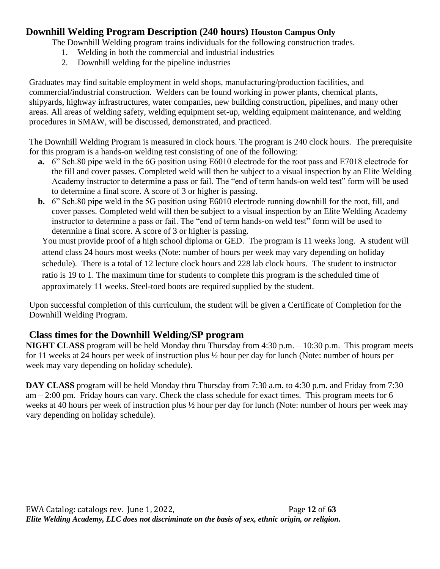## **Downhill Welding Program Description (240 hours) Houston Campus Only**

The Downhill Welding program trains individuals for the following construction trades.

- 1. Welding in both the commercial and industrial industries
- 2. Downhill welding for the pipeline industries

Graduates may find suitable employment in weld shops, manufacturing/production facilities, and commercial/industrial construction. Welders can be found working in power plants, chemical plants, shipyards, highway infrastructures, water companies, new building construction, pipelines, and many other areas. All areas of welding safety, welding equipment set-up, welding equipment maintenance, and welding procedures in SMAW, will be discussed, demonstrated, and practiced.

The Downhill Welding Program is measured in clock hours. The program is 240 clock hours. The prerequisite for this program is a hands-on welding test consisting of one of the following:

- **a.** 6" Sch.80 pipe weld in the 6G position using E6010 electrode for the root pass and E7018 electrode for the fill and cover passes. Completed weld will then be subject to a visual inspection by an Elite Welding Academy instructor to determine a pass or fail. The "end of term hands-on weld test" form will be used to determine a final score. A score of 3 or higher is passing.
- **b.** 6" Sch.80 pipe weld in the 5G position using E6010 electrode running downhill for the root, fill, and cover passes. Completed weld will then be subject to a visual inspection by an Elite Welding Academy instructor to determine a pass or fail. The "end of term hands-on weld test" form will be used to determine a final score. A score of 3 or higher is passing.

You must provide proof of a high school diploma or GED. The program is 11 weeks long. A student will attend class 24 hours most weeks (Note: number of hours per week may vary depending on holiday schedule). There is a total of 12 lecture clock hours and 228 lab clock hours. The student to instructor ratio is 19 to 1. The maximum time for students to complete this program is the scheduled time of approximately 11 weeks. Steel-toed boots are required supplied by the student.

Upon successful completion of this curriculum, the student will be given a Certificate of Completion for the Downhill Welding Program.

# **Class times for the Downhill Welding/SP program**

**NIGHT CLASS** program will be held Monday thru Thursday from 4:30 p.m. – 10:30 p.m. This program meets for 11 weeks at 24 hours per week of instruction plus ½ hour per day for lunch (Note: number of hours per week may vary depending on holiday schedule).

**DAY CLASS** program will be held Monday thru Thursday from 7:30 a.m. to 4:30 p.m. and Friday from 7:30 am – 2:00 pm. Friday hours can vary. Check the class schedule for exact times. This program meets for 6 weeks at 40 hours per week of instruction plus ½ hour per day for lunch (Note: number of hours per week may vary depending on holiday schedule).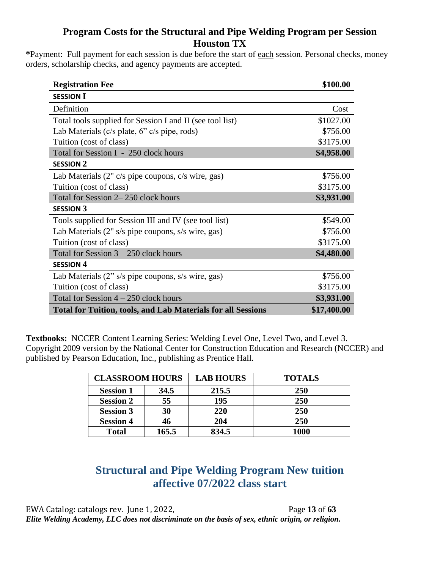## **Program Costs for the Structural and Pipe Welding Program per Session Houston TX**

**\***Payment: Full payment for each session is due before the start of each session. Personal checks, money orders, scholarship checks, and agency payments are accepted.

| <b>Registration Fee</b>                                             | \$100.00    |
|---------------------------------------------------------------------|-------------|
| <b>SESSION I</b>                                                    |             |
| Definition                                                          | Cost        |
| Total tools supplied for Session I and II (see tool list)           | \$1027.00   |
| Lab Materials ( $c/s$ plate, $6$ " $c/s$ pipe, rods)                | \$756.00    |
| Tuition (cost of class)                                             | \$3175.00   |
| Total for Session I - 250 clock hours                               | \$4,958.00  |
| <b>SESSION 2</b>                                                    |             |
| Lab Materials (2" c/s pipe coupons, c/s wire, gas)                  | \$756.00    |
| Tuition (cost of class)                                             | \$3175.00   |
| Total for Session 2–250 clock hours                                 | \$3,931.00  |
| <b>SESSION 3</b>                                                    |             |
| Tools supplied for Session III and IV (see tool list)               | \$549.00    |
| Lab Materials (2" s/s pipe coupons, s/s wire, gas)                  | \$756.00    |
| Tuition (cost of class)                                             | \$3175.00   |
| Total for Session $3 - 250$ clock hours                             | \$4,480.00  |
| <b>SESSION 4</b>                                                    |             |
| Lab Materials (2" s/s pipe coupons, s/s wire, gas)                  | \$756.00    |
| Tuition (cost of class)                                             | \$3175.00   |
| Total for Session $4 - 250$ clock hours                             | \$3,931.00  |
| <b>Total for Tuition, tools, and Lab Materials for all Sessions</b> | \$17,400.00 |

**Textbooks:** NCCER Content Learning Series: Welding Level One, Level Two, and Level 3. Copyright 2009 version by the National Center for Construction Education and Research (NCCER) and published by Pearson Education, Inc., publishing as Prentice Hall.

| <b>CLASSROOM HOURS</b> |       | <b>LAB HOURS</b> | <b>TOTALS</b> |
|------------------------|-------|------------------|---------------|
| <b>Session 1</b>       | 34.5  | 215.5            | <b>250</b>    |
| <b>Session 2</b>       | 55    | 195              | 250           |
| <b>Session 3</b>       | 30    | 220              | 250           |
| <b>Session 4</b>       | 46    | 204              | 250           |
| <b>Total</b>           | 165.5 | 834.5            | 1000          |

# **Structural and Pipe Welding Program New tuition affective 07/2022 class start**

EWA Catalog: catalogs rev. June 1, 2022, Page **13** of **63** *Elite Welding Academy, LLC does not discriminate on the basis of sex, ethnic origin, or religion.*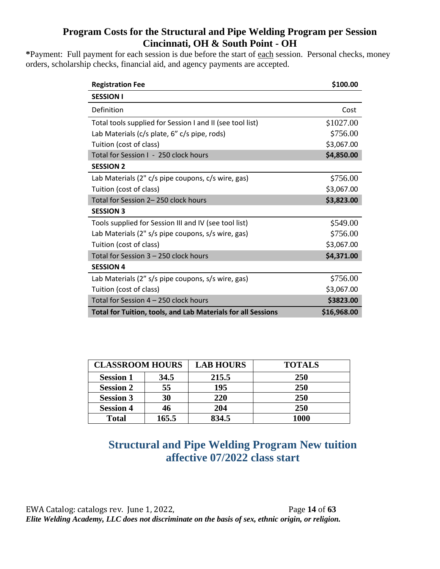# **Program Costs for the Structural and Pipe Welding Program per Session Cincinnati, OH & South Point - OH**

**\***Payment: Full payment for each session is due before the start of each session. Personal checks, money orders, scholarship checks, financial aid, and agency payments are accepted.

| <b>Registration Fee</b>                                             | \$100.00    |
|---------------------------------------------------------------------|-------------|
| <b>SESSION I</b>                                                    |             |
| Definition                                                          | Cost        |
| Total tools supplied for Session I and II (see tool list)           | \$1027.00   |
| Lab Materials (c/s plate, 6" c/s pipe, rods)                        | \$756.00    |
| Tuition (cost of class)                                             | \$3,067.00  |
| Total for Session I - 250 clock hours                               | \$4,850.00  |
| <b>SESSION 2</b>                                                    |             |
| Lab Materials (2" c/s pipe coupons, c/s wire, gas)                  | \$756.00    |
| Tuition (cost of class)                                             | \$3,067.00  |
| Total for Session 2-250 clock hours                                 | \$3,823.00  |
| <b>SESSION 3</b>                                                    |             |
| Tools supplied for Session III and IV (see tool list)               | \$549.00    |
| Lab Materials (2" s/s pipe coupons, s/s wire, gas)                  | \$756.00    |
| Tuition (cost of class)                                             | \$3,067.00  |
| Total for Session 3 - 250 clock hours                               | \$4,371.00  |
| <b>SESSION 4</b>                                                    |             |
| Lab Materials (2" s/s pipe coupons, s/s wire, gas)                  | \$756.00    |
| Tuition (cost of class)                                             | \$3,067.00  |
| Total for Session 4 - 250 clock hours                               | \$3823.00   |
| <b>Total for Tuition, tools, and Lab Materials for all Sessions</b> | \$16,968.00 |

| <b>CLASSROOM HOURS</b> |       | <b>LAB HOURS</b> | <b>TOTALS</b> |  |
|------------------------|-------|------------------|---------------|--|
| <b>Session 1</b>       | 34.5  | 215.5            | <b>250</b>    |  |
| <b>Session 2</b>       | 55    | 195              | 250           |  |
| <b>Session 3</b>       | 30    | 220              | <b>250</b>    |  |
| <b>Session 4</b>       | 46    | 204              | 250           |  |
| <b>Total</b>           | 165.5 | 834.5            | 1000          |  |

# **Structural and Pipe Welding Program New tuition affective 07/2022 class start**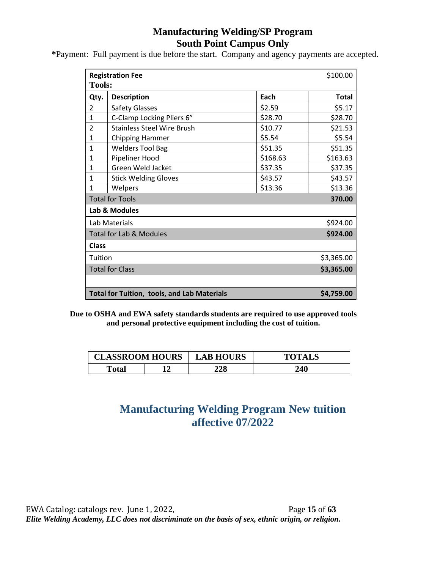## **Manufacturing Welding/SP Program South Point Campus Only**

**\***Payment: Full payment is due before the start. Company and agency payments are accepted.

| \$100.00<br><b>Registration Fee</b><br><b>Tools:</b>             |                                    |          |              |  |  |
|------------------------------------------------------------------|------------------------------------|----------|--------------|--|--|
| Qty.                                                             | <b>Description</b>                 | Each     | <b>Total</b> |  |  |
| $\overline{2}$                                                   | <b>Safety Glasses</b>              | \$2.59   | \$5.17       |  |  |
| $\mathbf{1}$                                                     | C-Clamp Locking Pliers 6"          | \$28.70  | \$28.70      |  |  |
| $\overline{2}$                                                   | <b>Stainless Steel Wire Brush</b>  | \$10.77  | \$21.53      |  |  |
| $\mathbf{1}$                                                     | <b>Chipping Hammer</b>             | \$5.54   | \$5.54       |  |  |
| $\mathbf{1}$                                                     | <b>Welders Tool Bag</b>            | \$51.35  | \$51.35      |  |  |
| $\mathbf{1}$                                                     | Pipeliner Hood                     | \$168.63 | \$163.63     |  |  |
| $\mathbf{1}$                                                     | Green Weld Jacket                  | \$37.35  | \$37.35      |  |  |
| $\mathbf{1}$                                                     | <b>Stick Welding Gloves</b>        | \$43.57  | \$43.57      |  |  |
| $\mathbf{1}$                                                     | Welpers                            | \$13.36  | \$13.36      |  |  |
| <b>Total for Tools</b><br>370.00                                 |                                    |          |              |  |  |
|                                                                  | Lab & Modules                      |          |              |  |  |
|                                                                  | Lab Materials<br>\$924.00          |          |              |  |  |
|                                                                  | <b>Total for Lab &amp; Modules</b> |          | \$924.00     |  |  |
| <b>Class</b>                                                     |                                    |          |              |  |  |
| Tuition                                                          |                                    |          | \$3,365.00   |  |  |
| <b>Total for Class</b>                                           |                                    |          | \$3,365.00   |  |  |
|                                                                  |                                    |          |              |  |  |
| \$4,759.00<br><b>Total for Tuition, tools, and Lab Materials</b> |                                    |          |              |  |  |

**Due to OSHA and EWA safety standards students are required to use approved tools and personal protective equipment including the cost of tuition.** 

| <b>CLASSROOM HOURS</b> |  | <b>LAB HOURS</b> | <b>TOTALS</b> |
|------------------------|--|------------------|---------------|
| Total                  |  | 228              | 240           |

# **Manufacturing Welding Program New tuition affective 07/2022**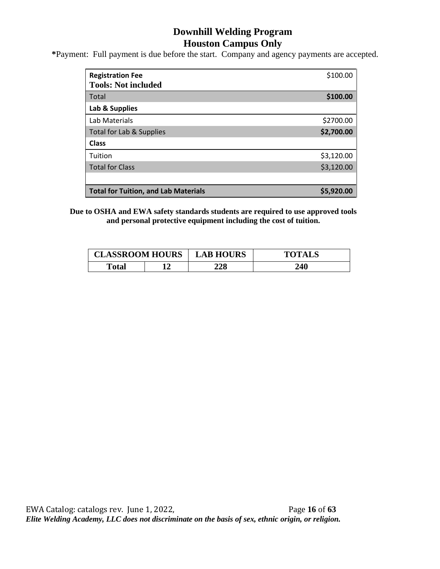## **Downhill Welding Program Houston Campus Only**

**\***Payment: Full payment is due before the start. Company and agency payments are accepted.

| <b>Registration Fee</b><br><b>Tools: Not included</b> | \$100.00   |
|-------------------------------------------------------|------------|
| Total                                                 | \$100.00   |
| Lab & Supplies                                        |            |
| Lab Materials                                         | \$2700.00  |
| Total for Lab & Supplies                              | \$2,700.00 |
| <b>Class</b>                                          |            |
| Tuition                                               | \$3,120.00 |
| <b>Total for Class</b>                                | \$3,120.00 |
|                                                       |            |
| <b>Total for Tuition, and Lab Materials</b>           | \$5,920.00 |

**Due to OSHA and EWA safety standards students are required to use approved tools and personal protective equipment including the cost of tuition.** 

| <b>CLASSROOM HOURS</b> |  | <b>LAB HOURS</b> | <b>TOTALS</b> |  |
|------------------------|--|------------------|---------------|--|
| <b>Total</b>           |  | 228              | 240           |  |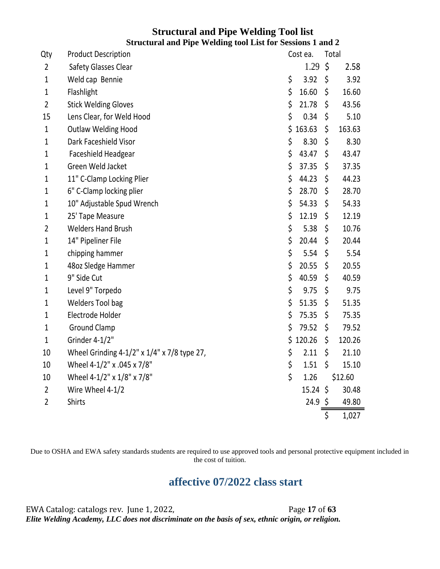#### **Structural and Pipe Welding Tool list Structural and Pipe Welding tool List for Sessions 1 and 2**

| Qty            | <b>Product Description</b>                  | Cost ea.         | Total        |
|----------------|---------------------------------------------|------------------|--------------|
| $\overline{2}$ | Safety Glasses Clear                        | 1.29             | \$<br>2.58   |
| 1              | Weld cap Bennie                             | \$<br>3.92       | \$<br>3.92   |
| $\mathbf{1}$   | Flashlight                                  | \$<br>16.60      | \$<br>16.60  |
| $\overline{2}$ | <b>Stick Welding Gloves</b>                 | \$<br>21.78      | \$<br>43.56  |
| 15             | Lens Clear, for Weld Hood                   | \$<br>0.34       | \$<br>5.10   |
| 1              | <b>Outlaw Welding Hood</b>                  | \$<br>163.63     | \$<br>163.63 |
| 1              | Dark Faceshield Visor                       | \$<br>8.30       | \$<br>8.30   |
| 1              | Faceshield Headgear                         | \$<br>43.47      | \$<br>43.47  |
| $\mathbf{1}$   | Green Weld Jacket                           | \$<br>37.35      | \$<br>37.35  |
| 1              | 11" C-Clamp Locking Plier                   | \$<br>44.23      | \$<br>44.23  |
| 1              | 6" C-Clamp locking plier                    | \$<br>28.70      | \$<br>28.70  |
| $\mathbf{1}$   | 10" Adjustable Spud Wrench                  | \$<br>54.33      | \$<br>54.33  |
| 1              | 25' Tape Measure                            | \$<br>12.19      | \$<br>12.19  |
| 2              | <b>Welders Hand Brush</b>                   | \$<br>5.38       | \$<br>10.76  |
| 1              | 14" Pipeliner File                          | \$<br>20.44      | \$<br>20.44  |
| $\mathbf{1}$   | chipping hammer                             | \$<br>5.54       | \$<br>5.54   |
| 1              | 48oz Sledge Hammer                          | \$<br>20.55      | \$<br>20.55  |
| 1              | 9" Side Cut                                 | \$<br>40.59      | \$<br>40.59  |
| $\mathbf{1}$   | Level 9" Torpedo                            | \$<br>9.75       | \$<br>9.75   |
| 1              | Welders Tool bag                            | \$<br>51.35      | \$<br>51.35  |
| 1              | Electrode Holder                            | \$<br>75.35      | \$<br>75.35  |
| 1              | <b>Ground Clamp</b>                         | \$<br>79.52      | \$<br>79.52  |
| $\mathbf 1$    | Grinder 4-1/2"                              | \$<br>120.26     | \$<br>120.26 |
| 10             | Wheel Grinding 4-1/2" x 1/4" x 7/8 type 27, | \$<br>2.11       | \$<br>21.10  |
| 10             | Wheel 4-1/2" x .045 x 7/8"                  | \$<br>1.51       | \$<br>15.10  |
| 10             | Wheel 4-1/2" x 1/8" x 7/8"                  | \$<br>1.26       | \$12.60      |
| $\overline{2}$ | Wire Wheel 4-1/2                            | $15.24 \text{ }$ | 30.48        |
| $\overline{2}$ | Shirts                                      | $24.9 \; \zeta$  | 49.80        |
|                |                                             |                  | \$<br>1,027  |

Due to OSHA and EWA safety standards students are required to use approved tools and personal protective equipment included in the cost of tuition.

# **affective 07/2022 class start**

EWA Catalog: catalogs rev. June 1, 2022, Page **17** of **63** *Elite Welding Academy, LLC does not discriminate on the basis of sex, ethnic origin, or religion.*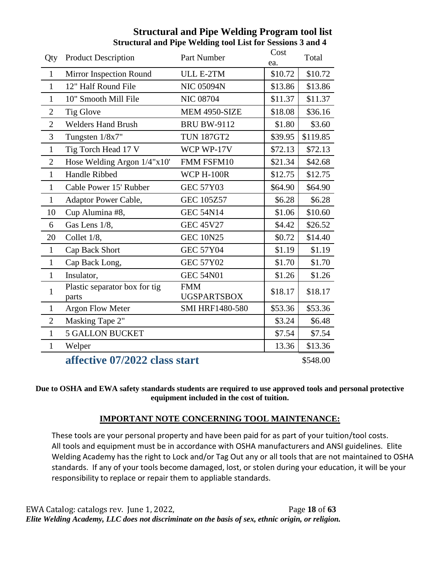| Qty            | <b>Product Description</b>             | Part Number                      | Cost<br>ea. | Total    |
|----------------|----------------------------------------|----------------------------------|-------------|----------|
| $\mathbf{1}$   | Mirror Inspection Round                | ULL E-2TM                        | \$10.72     | \$10.72  |
| $\mathbf{1}$   | 12" Half Round File                    | <b>NIC 05094N</b>                | \$13.86     | \$13.86  |
| $\mathbf{1}$   | 10" Smooth Mill File                   | <b>NIC 08704</b>                 | \$11.37     | \$11.37  |
| $\mathbf{2}$   | Tig Glove                              | MEM 4950-SIZE                    | \$18.08     | \$36.16  |
| $\overline{2}$ | <b>Welders Hand Brush</b>              | <b>BRU BW-9112</b>               | \$1.80      | \$3.60   |
| 3              | Tungsten 1/8x7"                        | <b>TUN 187GT2</b>                | \$39.95     | \$119.85 |
| $\mathbf{1}$   | Tig Torch Head 17 V                    | WCP WP-17V                       | \$72.13     | \$72.13  |
| $\overline{2}$ | Hose Welding Argon 1/4"x10"            | FMM FSFM10                       | \$21.34     | \$42.68  |
| $\mathbf{1}$   | Handle Ribbed                          | WCP H-100R                       | \$12.75     | \$12.75  |
| $\mathbf{1}$   | Cable Power 15' Rubber                 | <b>GEC 57Y03</b>                 | \$64.90     | \$64.90  |
| $\mathbf{1}$   | Adaptor Power Cable,                   | <b>GEC 105Z57</b>                | \$6.28      | \$6.28   |
| 10             | Cup Alumina #8,                        | <b>GEC 54N14</b>                 | \$1.06      | \$10.60  |
| 6              | Gas Lens 1/8,                          | <b>GEC 45V27</b>                 | \$4.42      | \$26.52  |
| 20             | Collet 1/8,                            | <b>GEC 10N25</b>                 | \$0.72      | \$14.40  |
| $\mathbf{1}$   | Cap Back Short                         | <b>GEC 57Y04</b>                 | \$1.19      | \$1.19   |
| $\mathbf{1}$   | Cap Back Long,                         | <b>GEC 57Y02</b>                 | \$1.70      | \$1.70   |
| $\mathbf{1}$   | Insulator,                             | <b>GEC 54N01</b>                 | \$1.26      | \$1.26   |
| 1              | Plastic separator box for tig<br>parts | <b>FMM</b><br><b>UGSPARTSBOX</b> | \$18.17     | \$18.17  |
| $\mathbf{1}$   | <b>Argon Flow Meter</b>                | <b>SMI HRF1480-580</b>           | \$53.36     | \$53.36  |
| $\overline{2}$ | Masking Tape 2"                        |                                  | \$3.24      | \$6.48   |
| $\mathbf{1}$   | <b>5 GALLON BUCKET</b>                 |                                  | \$7.54      | \$7.54   |
| $\mathbf{1}$   | Welper                                 |                                  | 13.36       | \$13.36  |
|                | $\epsilon$ ffeeting 07/2022 eleggatent |                                  |             | 0.51000  |

## **Structural and Pipe Welding Program tool list Structural and Pipe Welding tool List for Sessions 3 and 4**

**affective 07/2022 class start**  $\frac{1}{2}$  **s**548.00

**Due to OSHA and EWA safety standards students are required to use approved tools and personal protective equipment included in the cost of tuition.** 

#### **IMPORTANT NOTE CONCERNING TOOL MAINTENANCE:**

These tools are your personal property and have been paid for as part of your tuition/tool costs. All tools and equipment must be in accordance with OSHA manufacturers and ANSI guidelines. Elite Welding Academy has the right to Lock and/or Tag Out any or all tools that are not maintained to OSHA standards. If any of your tools become damaged, lost, or stolen during your education, it will be your responsibility to replace or repair them to appliable standards.

EWA Catalog: catalogs rev. June 1, 2022, Page **18** of **63** *Elite Welding Academy, LLC does not discriminate on the basis of sex, ethnic origin, or religion.*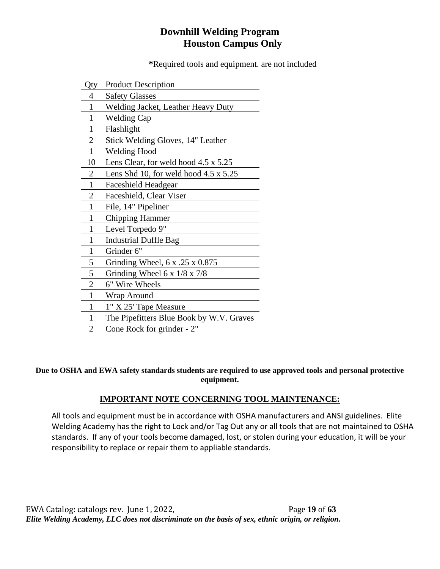# **Downhill Welding Program Houston Campus Only**

**\***Required tools and equipment. are not included

| Qty            | <b>Product Description</b>                   |
|----------------|----------------------------------------------|
| 4              | <b>Safety Glasses</b>                        |
| 1              | Welding Jacket, Leather Heavy Duty           |
| 1              | <b>Welding Cap</b>                           |
| 1              | Flashlight                                   |
| $\overline{2}$ | Stick Welding Gloves, 14" Leather            |
| 1              | <b>Welding Hood</b>                          |
| 10             | Lens Clear, for weld hood 4.5 x 5.25         |
| $\overline{2}$ | Lens Shd 10, for weld hood $4.5 \times 5.25$ |
| 1              | Faceshield Headgear                          |
| 2              | Faceshield, Clear Viser                      |
| 1              | File, 14" Pipeliner                          |
| 1              | <b>Chipping Hammer</b>                       |
| 1              | Level Torpedo 9"                             |
| 1              | <b>Industrial Duffle Bag</b>                 |
| $\mathbf{1}$   | Grinder 6"                                   |
| 5              | Grinding Wheel, $6x$ . $25x0.875$            |
| 5              | Grinding Wheel 6 x $1/8 \times 7/8$          |
| $\overline{2}$ | 6" Wire Wheels                               |
| 1              | Wrap Around                                  |
| 1              | 1" X 25' Tape Measure                        |
| 1              | The Pipefitters Blue Book by W.V. Graves     |
| 2              | Cone Rock for grinder - 2"                   |

**Due to OSHA and EWA safety standards students are required to use approved tools and personal protective equipment.**

#### **IMPORTANT NOTE CONCERNING TOOL MAINTENANCE:**

All tools and equipment must be in accordance with OSHA manufacturers and ANSI guidelines. Elite Welding Academy has the right to Lock and/or Tag Out any or all tools that are not maintained to OSHA standards. If any of your tools become damaged, lost, or stolen during your education, it will be your responsibility to replace or repair them to appliable standards.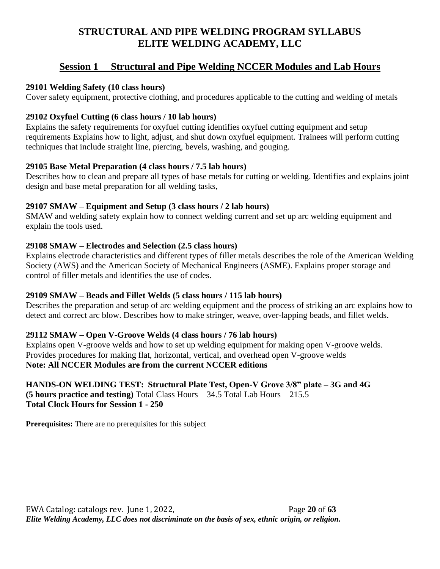# **STRUCTURAL AND PIPE WELDING PROGRAM SYLLABUS ELITE WELDING ACADEMY, LLC**

# **Session 1 Structural and Pipe Welding NCCER Modules and Lab Hours**

#### **29101 Welding Safety (10 class hours)**

Cover safety equipment, protective clothing, and procedures applicable to the cutting and welding of metals

#### **29102 Oxyfuel Cutting (6 class hours / 10 lab hours)**

Explains the safety requirements for oxyfuel cutting identifies oxyfuel cutting equipment and setup requirements Explains how to light, adjust, and shut down oxyfuel equipment. Trainees will perform cutting techniques that include straight line, piercing, bevels, washing, and gouging.

#### **29105 Base Metal Preparation (4 class hours / 7.5 lab hours)**

Describes how to clean and prepare all types of base metals for cutting or welding. Identifies and explains joint design and base metal preparation for all welding tasks,

#### **29107 SMAW – Equipment and Setup (3 class hours / 2 lab hours)**

SMAW and welding safety explain how to connect welding current and set up arc welding equipment and explain the tools used.

#### **29108 SMAW – Electrodes and Selection (2.5 class hours)**

Explains electrode characteristics and different types of filler metals describes the role of the American Welding Society (AWS) and the American Society of Mechanical Engineers (ASME). Explains proper storage and control of filler metals and identifies the use of codes.

#### **29109 SMAW – Beads and Fillet Welds (5 class hours / 115 lab hours)**

Describes the preparation and setup of arc welding equipment and the process of striking an arc explains how to detect and correct arc blow. Describes how to make stringer, weave, over-lapping beads, and fillet welds.

#### **29112 SMAW – Open V-Groove Welds (4 class hours / 76 lab hours)**

Explains open V-groove welds and how to set up welding equipment for making open V-groove welds. Provides procedures for making flat, horizontal, vertical, and overhead open V-groove welds **Note: All NCCER Modules are from the current NCCER editions**

#### **HANDS-ON WELDING TEST: Structural Plate Test, Open-V Grove 3/8" plate – 3G and 4G (5 hours practice and testing)** Total Class Hours – 34.5 Total Lab Hours – 215.5 **Total Clock Hours for Session 1 - 250**

**Prerequisites:** There are no prerequisites for this subject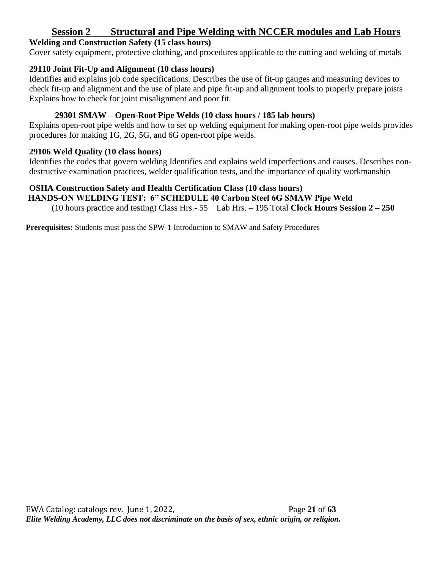## **Session 2 Structural and Pipe Welding with NCCER modules and Lab Hours**

#### **Welding and Construction Safety (15 class hours)**

Cover safety equipment, protective clothing, and procedures applicable to the cutting and welding of metals

#### **29110 Joint Fit-Up and Alignment (10 class hours)**

Identifies and explains job code specifications. Describes the use of fit-up gauges and measuring devices to check fit-up and alignment and the use of plate and pipe fit-up and alignment tools to properly prepare joists Explains how to check for joint misalignment and poor fit.

## **29301 SMAW – Open-Root Pipe Welds (10 class hours / 185 lab hours)**

Explains open-root pipe welds and how to set up welding equipment for making open-root pipe welds provides procedures for making 1G, 2G, 5G, and 6G open-root pipe welds.

#### **29106 Weld Quality (10 class hours)**

Identifies the codes that govern welding Identifies and explains weld imperfections and causes. Describes nondestructive examination practices, welder qualification tests, and the importance of quality workmanship

#### **OSHA Construction Safety and Health Certification Class (10 class hours)**

**HANDS-ON WELDING TEST: 6" SCHEDULE 40 Carbon Steel 6G SMAW Pipe Weld** 

(10 hours practice and testing) Class Hrs.- 55 Lab Hrs. – 195 Total **Clock Hours Session 2 – 250**

**Prerequisites:** Students must pass the SPW-1 Introduction to SMAW and Safety Procedures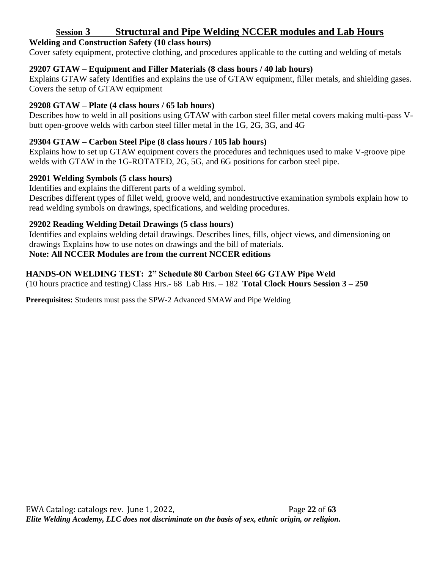## **Session 3 Structural and Pipe Welding NCCER modules and Lab Hours**

#### **Welding and Construction Safety (10 class hours)**

Cover safety equipment, protective clothing, and procedures applicable to the cutting and welding of metals

#### **29207 GTAW – Equipment and Filler Materials (8 class hours / 40 lab hours)**

Explains GTAW safety Identifies and explains the use of GTAW equipment, filler metals, and shielding gases. Covers the setup of GTAW equipment

#### **29208 GTAW – Plate (4 class hours / 65 lab hours)**

Describes how to weld in all positions using GTAW with carbon steel filler metal covers making multi-pass Vbutt open-groove welds with carbon steel filler metal in the 1G, 2G, 3G, and 4G

#### **29304 GTAW – Carbon Steel Pipe (8 class hours / 105 lab hours)**

Explains how to set up GTAW equipment covers the procedures and techniques used to make V-groove pipe welds with GTAW in the 1G-ROTATED, 2G, 5G, and 6G positions for carbon steel pipe.

#### **29201 Welding Symbols (5 class hours)**

Identifies and explains the different parts of a welding symbol.

Describes different types of fillet weld, groove weld, and nondestructive examination symbols explain how to read welding symbols on drawings, specifications, and welding procedures.

#### **29202 Reading Welding Detail Drawings (5 class hours)**

Identifies and explains welding detail drawings. Describes lines, fills, object views, and dimensioning on drawings Explains how to use notes on drawings and the bill of materials.

#### **Note: All NCCER Modules are from the current NCCER editions**

#### **HANDS-ON WELDING TEST: 2" Schedule 80 Carbon Steel 6G GTAW Pipe Weld**  (10 hours practice and testing) Class Hrs.- 68 Lab Hrs. – 182 **Total Clock Hours Session 3 – 250**

**Prerequisites:** Students must pass the SPW-2 Advanced SMAW and Pipe Welding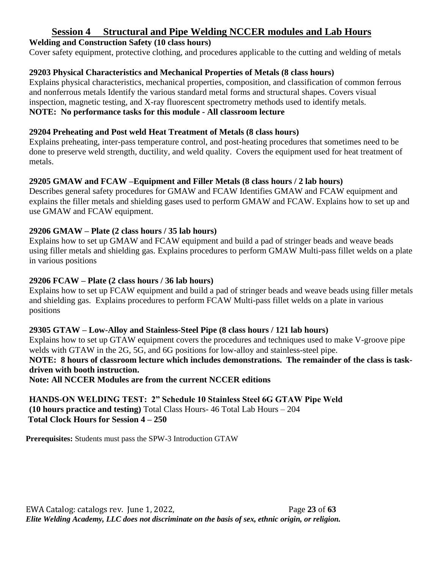## **Session 4 Structural and Pipe Welding NCCER modules and Lab Hours**

#### **Welding and Construction Safety (10 class hours)**

Cover safety equipment, protective clothing, and procedures applicable to the cutting and welding of metals

#### **29203 Physical Characteristics and Mechanical Properties of Metals (8 class hours)**

Explains physical characteristics, mechanical properties, composition, and classification of common ferrous and nonferrous metals Identify the various standard metal forms and structural shapes. Covers visual inspection, magnetic testing, and X-ray fluorescent spectrometry methods used to identify metals. **NOTE: No performance tasks for this module - All classroom lecture**

#### **29204 Preheating and Post weld Heat Treatment of Metals (8 class hours)**

Explains preheating, inter-pass temperature control, and post-heating procedures that sometimes need to be done to preserve weld strength, ductility, and weld quality. Covers the equipment used for heat treatment of metals.

#### **29205 GMAW and FCAW –Equipment and Filler Metals (8 class hours / 2 lab hours)**

Describes general safety procedures for GMAW and FCAW Identifies GMAW and FCAW equipment and explains the filler metals and shielding gases used to perform GMAW and FCAW. Explains how to set up and use GMAW and FCAW equipment.

#### **29206 GMAW – Plate (2 class hours / 35 lab hours)**

Explains how to set up GMAW and FCAW equipment and build a pad of stringer beads and weave beads using filler metals and shielding gas. Explains procedures to perform GMAW Multi-pass fillet welds on a plate in various positions

#### **29206 FCAW – Plate (2 class hours / 36 lab hours)**

Explains how to set up FCAW equipment and build a pad of stringer beads and weave beads using filler metals and shielding gas. Explains procedures to perform FCAW Multi-pass fillet welds on a plate in various positions

#### **29305 GTAW – Low-Alloy and Stainless-Steel Pipe (8 class hours / 121 lab hours)**

Explains how to set up GTAW equipment covers the procedures and techniques used to make V-groove pipe welds with GTAW in the 2G, 5G, and 6G positions for low-alloy and stainless-steel pipe. **NOTE: 8 hours of classroom lecture which includes demonstrations. The remainder of the class is taskdriven with booth instruction.**

**Note: All NCCER Modules are from the current NCCER editions**

**HANDS-ON WELDING TEST: 2" Schedule 10 Stainless Steel 6G GTAW Pipe Weld (10 hours practice and testing)** Total Class Hours- 46 Total Lab Hours – 204 **Total Clock Hours for Session 4 – 250**

**Prerequisites:** Students must pass the SPW-3 Introduction GTAW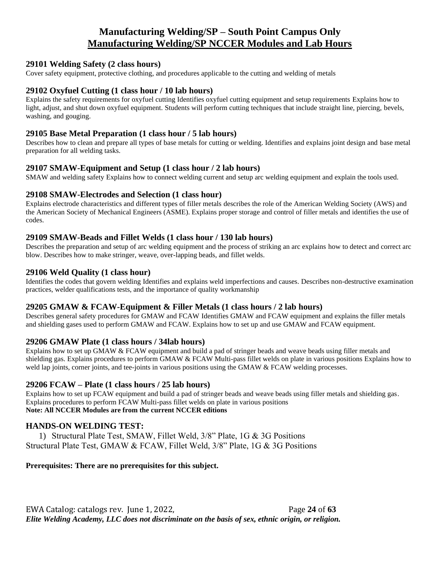## **Manufacturing Welding/SP – South Point Campus Only Manufacturing Welding/SP NCCER Modules and Lab Hours**

#### **29101 Welding Safety (2 class hours)**

Cover safety equipment, protective clothing, and procedures applicable to the cutting and welding of metals

#### **29102 Oxyfuel Cutting (1 class hour / 10 lab hours)**

Explains the safety requirements for oxyfuel cutting Identifies oxyfuel cutting equipment and setup requirements Explains how to light, adjust, and shut down oxyfuel equipment. Students will perform cutting techniques that include straight line, piercing, bevels, washing, and gouging.

#### **29105 Base Metal Preparation (1 class hour / 5 lab hours)**

Describes how to clean and prepare all types of base metals for cutting or welding. Identifies and explains joint design and base metal preparation for all welding tasks.

#### **29107 SMAW-Equipment and Setup (1 class hour / 2 lab hours)**

SMAW and welding safety Explains how to connect welding current and setup arc welding equipment and explain the tools used.

#### **29108 SMAW-Electrodes and Selection (1 class hour)**

Explains electrode characteristics and different types of filler metals describes the role of the American Welding Society (AWS) and the American Society of Mechanical Engineers (ASME). Explains proper storage and control of filler metals and identifies the use of codes.

#### **29109 SMAW-Beads and Fillet Welds (1 class hour / 130 lab hours)**

Describes the preparation and setup of arc welding equipment and the process of striking an arc explains how to detect and correct arc blow. Describes how to make stringer, weave, over-lapping beads, and fillet welds.

#### **29106 Weld Quality (1 class hour)**

Identifies the codes that govern welding Identifies and explains weld imperfections and causes. Describes non-destructive examination practices, welder qualifications tests, and the importance of quality workmanship

#### **29205 GMAW & FCAW-Equipment & Filler Metals (1 class hours / 2 lab hours)**

Describes general safety procedures for GMAW and FCAW Identifies GMAW and FCAW equipment and explains the filler metals and shielding gases used to perform GMAW and FCAW. Explains how to set up and use GMAW and FCAW equipment.

#### **29206 GMAW Plate (1 class hours / 34lab hours)**

Explains how to set up GMAW & FCAW equipment and build a pad of stringer beads and weave beads using filler metals and shielding gas. Explains procedures to perform GMAW & FCAW Multi-pass fillet welds on plate in various positions Explains how to weld lap joints, corner joints, and tee-joints in various positions using the GMAW & FCAW welding processes.

#### **29206 FCAW – Plate (1 class hours / 25 lab hours)**

Explains how to set up FCAW equipment and build a pad of stringer beads and weave beads using filler metals and shielding gas. Explains procedures to perform FCAW Multi-pass fillet welds on plate in various positions **Note: All NCCER Modules are from the current NCCER editions**

#### **HANDS-ON WELDING TEST:**

1) Structural Plate Test, SMAW, Fillet Weld, 3/8" Plate, 1G & 3G Positions Structural Plate Test, GMAW & FCAW, Fillet Weld, 3/8" Plate, 1G & 3G Positions

#### **Prerequisites: There are no prerequisites for this subject.**

EWA Catalog: catalogs rev. June 1, 2022, Page **24** of **63** *Elite Welding Academy, LLC does not discriminate on the basis of sex, ethnic origin, or religion.*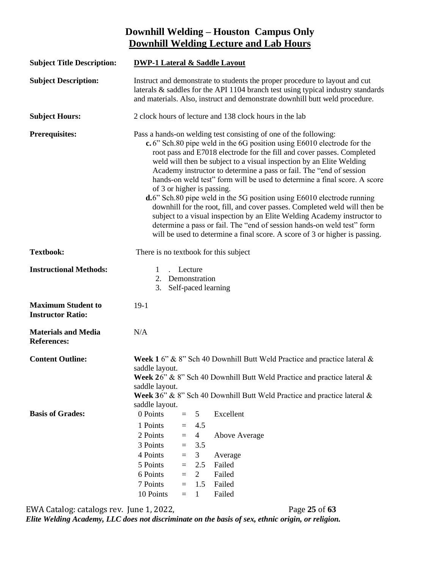# **Downhill Welding – Houston Campus Only Downhill Welding Lecture and Lab Hours**

| <b>Subject Title Description:</b>                     | <b>DWP-1 Lateral &amp; Saddle Layout</b>                                                                                                                                                                                                                                                                                                                                                                                                                                                                                                                                                                                                                                                                                                                                                                                                                                      |                                                                |                                                                                     |                                                                                                                                                                                                                                   |  |  |
|-------------------------------------------------------|-------------------------------------------------------------------------------------------------------------------------------------------------------------------------------------------------------------------------------------------------------------------------------------------------------------------------------------------------------------------------------------------------------------------------------------------------------------------------------------------------------------------------------------------------------------------------------------------------------------------------------------------------------------------------------------------------------------------------------------------------------------------------------------------------------------------------------------------------------------------------------|----------------------------------------------------------------|-------------------------------------------------------------------------------------|-----------------------------------------------------------------------------------------------------------------------------------------------------------------------------------------------------------------------------------|--|--|
| <b>Subject Description:</b>                           | Instruct and demonstrate to students the proper procedure to layout and cut<br>laterals $\&$ saddles for the API 1104 branch test using typical industry standards<br>and materials. Also, instruct and demonstrate downhill butt weld procedure.                                                                                                                                                                                                                                                                                                                                                                                                                                                                                                                                                                                                                             |                                                                |                                                                                     |                                                                                                                                                                                                                                   |  |  |
| <b>Subject Hours:</b>                                 |                                                                                                                                                                                                                                                                                                                                                                                                                                                                                                                                                                                                                                                                                                                                                                                                                                                                               |                                                                |                                                                                     | 2 clock hours of lecture and 138 clock hours in the lab                                                                                                                                                                           |  |  |
| <b>Prerequisites:</b>                                 | Pass a hands-on welding test consisting of one of the following:<br>c. 6" Sch. 80 pipe weld in the 6G position using E6010 electrode for the<br>root pass and E7018 electrode for the fill and cover passes. Completed<br>weld will then be subject to a visual inspection by an Elite Welding<br>Academy instructor to determine a pass or fail. The "end of session<br>hands-on weld test" form will be used to determine a final score. A score<br>of 3 or higher is passing.<br>d.6" Sch.80 pipe weld in the 5G position using E6010 electrode running<br>downhill for the root, fill, and cover passes. Completed weld will then be<br>subject to a visual inspection by an Elite Welding Academy instructor to<br>determine a pass or fail. The "end of session hands-on weld test" form<br>will be used to determine a final score. A score of 3 or higher is passing. |                                                                |                                                                                     |                                                                                                                                                                                                                                   |  |  |
| <b>Textbook:</b>                                      |                                                                                                                                                                                                                                                                                                                                                                                                                                                                                                                                                                                                                                                                                                                                                                                                                                                                               |                                                                |                                                                                     | There is no textbook for this subject                                                                                                                                                                                             |  |  |
| <b>Instructional Methods:</b>                         | 1<br>2. Demonstration<br>3.                                                                                                                                                                                                                                                                                                                                                                                                                                                                                                                                                                                                                                                                                                                                                                                                                                                   | Lecture                                                        |                                                                                     | Self-paced learning                                                                                                                                                                                                               |  |  |
| <b>Maximum Student to</b><br><b>Instructor Ratio:</b> | $19-1$                                                                                                                                                                                                                                                                                                                                                                                                                                                                                                                                                                                                                                                                                                                                                                                                                                                                        |                                                                |                                                                                     |                                                                                                                                                                                                                                   |  |  |
| <b>Materials and Media</b><br><b>References:</b>      | N/A                                                                                                                                                                                                                                                                                                                                                                                                                                                                                                                                                                                                                                                                                                                                                                                                                                                                           |                                                                |                                                                                     |                                                                                                                                                                                                                                   |  |  |
| <b>Content Outline:</b>                               | saddle layout.<br>saddle layout.<br>saddle layout.                                                                                                                                                                                                                                                                                                                                                                                                                                                                                                                                                                                                                                                                                                                                                                                                                            |                                                                |                                                                                     | Week 1 6" & 8" Sch 40 Downhill Butt Weld Practice and practice lateral &<br>Week $26$ " & 8" Sch 40 Downhill Butt Weld Practice and practice lateral &<br>Week 36" & 8" Sch 40 Downhill Butt Weld Practice and practice lateral & |  |  |
| <b>Basis of Grades:</b>                               | 0 Points<br>1 Points<br>2 Points<br>3 Points<br>4 Points<br>5 Points<br>6 Points<br>7 Points                                                                                                                                                                                                                                                                                                                                                                                                                                                                                                                                                                                                                                                                                                                                                                                  | $\equiv$<br>$=$<br>$=$<br>$=$<br>$\equiv$<br>$=$<br>$=$<br>$=$ | 5<br>4.5<br>$\overline{4}$<br>3.5<br>3 <sup>1</sup><br>2.5<br>$\mathfrak{2}$<br>1.5 | Excellent<br>Above Average<br>Average<br>Failed<br>Failed<br>Failed                                                                                                                                                               |  |  |
|                                                       | 10 Points                                                                                                                                                                                                                                                                                                                                                                                                                                                                                                                                                                                                                                                                                                                                                                                                                                                                     | $=$                                                            | $\mathbf{1}$                                                                        | Failed                                                                                                                                                                                                                            |  |  |

EWA Catalog: catalogs rev. June 1, 2022, Page **25** of **63** *Elite Welding Academy, LLC does not discriminate on the basis of sex, ethnic origin, or religion.*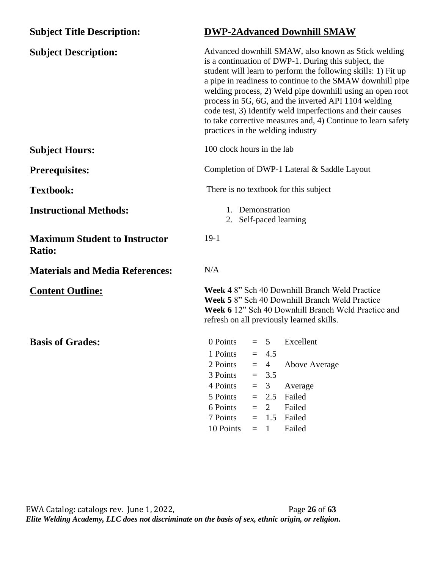| <b>Subject Title Description:</b>                     | <b>DWP-2Advanced Downhill SMAW</b>                                                                                                                                                                                                                                                                                                                                                                                                                                                                                                |  |  |  |
|-------------------------------------------------------|-----------------------------------------------------------------------------------------------------------------------------------------------------------------------------------------------------------------------------------------------------------------------------------------------------------------------------------------------------------------------------------------------------------------------------------------------------------------------------------------------------------------------------------|--|--|--|
| <b>Subject Description:</b>                           | Advanced downhill SMAW, also known as Stick welding<br>is a continuation of DWP-1. During this subject, the<br>student will learn to perform the following skills: 1) Fit up<br>a pipe in readiness to continue to the SMAW downhill pipe<br>welding process, 2) Weld pipe downhill using an open root<br>process in 5G, 6G, and the inverted API 1104 welding<br>code test, 3) Identify weld imperfections and their causes<br>to take corrective measures and, 4) Continue to learn safety<br>practices in the welding industry |  |  |  |
| <b>Subject Hours:</b>                                 | 100 clock hours in the lab                                                                                                                                                                                                                                                                                                                                                                                                                                                                                                        |  |  |  |
| <b>Prerequisites:</b>                                 | Completion of DWP-1 Lateral & Saddle Layout                                                                                                                                                                                                                                                                                                                                                                                                                                                                                       |  |  |  |
| <b>Textbook:</b>                                      | There is no textbook for this subject                                                                                                                                                                                                                                                                                                                                                                                                                                                                                             |  |  |  |
| <b>Instructional Methods:</b>                         | 1. Demonstration<br>2. Self-paced learning                                                                                                                                                                                                                                                                                                                                                                                                                                                                                        |  |  |  |
| <b>Maximum Student to Instructor</b><br><b>Ratio:</b> | $19-1$                                                                                                                                                                                                                                                                                                                                                                                                                                                                                                                            |  |  |  |
| <b>Materials and Media References:</b>                | N/A                                                                                                                                                                                                                                                                                                                                                                                                                                                                                                                               |  |  |  |
| <b>Content Outline:</b>                               | Week 4 8" Sch 40 Downhill Branch Weld Practice<br>Week 5 8" Sch 40 Downhill Branch Weld Practice<br>Week 6 12" Sch 40 Downhill Branch Weld Practice and<br>refresh on all previously learned skills.                                                                                                                                                                                                                                                                                                                              |  |  |  |
| <b>Basis of Grades:</b>                               | 0 Points<br>Excellent<br>$= 5$<br>1 Points<br>4.5<br>$=$<br>2 Points<br>$\overline{4}$<br><b>Above Average</b><br>$=$<br>3 Points<br>3.5<br>$=$<br>4 Points<br>3<br>Average<br>$=$                                                                                                                                                                                                                                                                                                                                                |  |  |  |
|                                                       | 5 Points<br>Failed<br>2.5<br>$=$                                                                                                                                                                                                                                                                                                                                                                                                                                                                                                  |  |  |  |
|                                                       | 6 Points<br>$\overline{2}$<br>Failed<br>$=$                                                                                                                                                                                                                                                                                                                                                                                                                                                                                       |  |  |  |
|                                                       | 7 Points<br>Failed<br>1.5<br>$=$                                                                                                                                                                                                                                                                                                                                                                                                                                                                                                  |  |  |  |
|                                                       | Failed<br>10 Points<br>$=$<br>1                                                                                                                                                                                                                                                                                                                                                                                                                                                                                                   |  |  |  |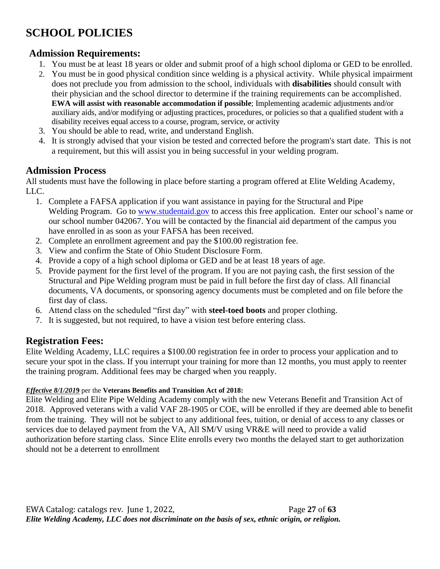# **SCHOOL POLICIES**

# **Admission Requirements:**

- 1. You must be at least 18 years or older and submit proof of a high school diploma or GED to be enrolled.
- 2. You must be in good physical condition since welding is a physical activity. While physical impairment does not preclude you from admission to the school, individuals with **disabilities** should consult with their physician and the school director to determine if the training requirements can be accomplished. **EWA will assist with reasonable accommodation if possible**; Implementing academic adjustments and/or auxiliary aids, and/or modifying or adjusting practices, procedures, or policies so that a qualified student with a disability receives equal access to a course, program, service, or activity
- 3. You should be able to read, write, and understand English.
- 4. It is strongly advised that your vision be tested and corrected before the program's start date. This is not a requirement, but this will assist you in being successful in your welding program.

## **Admission Process**

All students must have the following in place before starting a program offered at Elite Welding Academy, LLC.

- 1. Complete a FAFSA application if you want assistance in paying for the Structural and Pipe Welding Program. Go to [www.studentaid.gov](http://www.studentaid.gov/) to access this free application. Enter our school's name or our school number 042067. You will be contacted by the financial aid department of the campus you have enrolled in as soon as your FAFSA has been received.
- 2. Complete an enrollment agreement and pay the \$100.00 registration fee.
- 3. View and confirm the State of Ohio Student Disclosure Form.
- 4. Provide a copy of a high school diploma or GED and be at least 18 years of age.
- 5. Provide payment for the first level of the program. If you are not paying cash, the first session of the Structural and Pipe Welding program must be paid in full before the first day of class. All financial documents, VA documents, or sponsoring agency documents must be completed and on file before the first day of class.
- 6. Attend class on the scheduled "first day" with **steel-toed boots** and proper clothing.
- 7. It is suggested, but not required, to have a vision test before entering class.

# **Registration Fees:**

Elite Welding Academy, LLC requires a \$100.00 registration fee in order to process your application and to secure your spot in the class. If you interrupt your training for more than 12 months, you must apply to reenter the training program. Additional fees may be charged when you reapply.

#### *Effective 8/1/201***9** per the **Veterans Benefits and Transition Act of 2018:**

Elite Welding and Elite Pipe Welding Academy comply with the new Veterans Benefit and Transition Act of 2018. Approved veterans with a valid VAF 28-1905 or COE, will be enrolled if they are deemed able to benefit from the training. They will not be subject to any additional fees, tuition, or denial of access to any classes or services due to delayed payment from the VA, All SM/V using VR&E will need to provide a valid authorization before starting class. Since Elite enrolls every two months the delayed start to get authorization should not be a deterrent to enrollment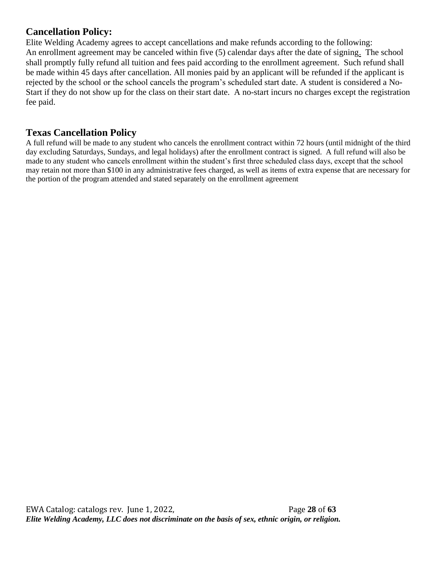## **Cancellation Policy:**

Elite Welding Academy agrees to accept cancellations and make refunds according to the following: An enrollment agreement may be canceled within five (5) calendar days after the date of signing. The school shall promptly fully refund all tuition and fees paid according to the enrollment agreement. Such refund shall be made within 45 days after cancellation. All monies paid by an applicant will be refunded if the applicant is rejected by the school or the school cancels the program's scheduled start date. A student is considered a No-Start if they do not show up for the class on their start date. A no-start incurs no charges except the registration fee paid.

## **Texas Cancellation Policy**

A full refund will be made to any student who cancels the enrollment contract within 72 hours (until midnight of the third day excluding Saturdays, Sundays, and legal holidays) after the enrollment contract is signed. A full refund will also be made to any student who cancels enrollment within the student's first three scheduled class days, except that the school may retain not more than \$100 in any administrative fees charged, as well as items of extra expense that are necessary for the portion of the program attended and stated separately on the enrollment agreement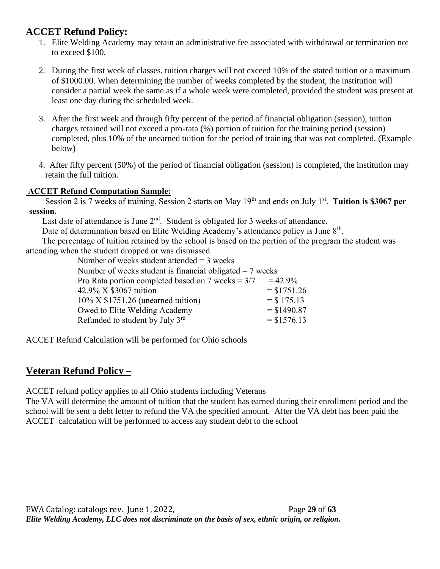# **ACCET Refund Policy:**

- 1. Elite Welding Academy may retain an administrative fee associated with withdrawal or termination not to exceed \$100.
- 2. During the first week of classes, tuition charges will not exceed 10% of the stated tuition or a maximum of \$1000.00. When determining the number of weeks completed by the student, the institution will consider a partial week the same as if a whole week were completed, provided the student was present at least one day during the scheduled week.
- 3. After the first week and through fifty percent of the period of financial obligation (session), tuition charges retained will not exceed a pro-rata (%) portion of tuition for the training period (session) completed, plus 10% of the unearned tuition for the period of training that was not completed. (Example below)
- 4. After fifty percent (50%) of the period of financial obligation (session) is completed, the institution may retain the full tuition.

#### **ACCET Refund Computation Sample:**

Session 2 is 7 weeks of training. Session 2 starts on May 19<sup>th</sup> and ends on July 1<sup>st</sup>. Tuition is \$3067 per **session.**

Last date of attendance is June  $2<sup>nd</sup>$ . Student is obligated for 3 weeks of attendance.

Date of determination based on Elite Welding Academy's attendance policy is June 8<sup>th</sup>.

The percentage of tuition retained by the school is based on the portion of the program the student was attending when the student dropped or was dismissed.

Number of weeks student attended  $=$  3 weeks

Number of weeks student is financial obligated  $= 7$  weeks

| Pro Rata portion completed based on 7 weeks $= 3/7$ | $= 42.9\%$    |
|-----------------------------------------------------|---------------|
| 42.9% X \$3067 tuition                              | $=$ \$1751.26 |
| 10% X \$1751.26 (unearned tuition)                  | $=$ \$ 175.13 |
| Owed to Elite Welding Academy                       | $=$ \$1490.87 |
| Refunded to student by July 3 <sup>rd</sup>         | $=$ \$1576.13 |
|                                                     |               |

ACCET Refund Calculation will be performed for Ohio schools

# **Veteran Refund Policy –**

ACCET refund policy applies to all Ohio students including Veterans

The VA will determine the amount of tuition that the student has earned during their enrollment period and the school will be sent a debt letter to refund the VA the specified amount. After the VA debt has been paid the ACCET calculation will be performed to access any student debt to the school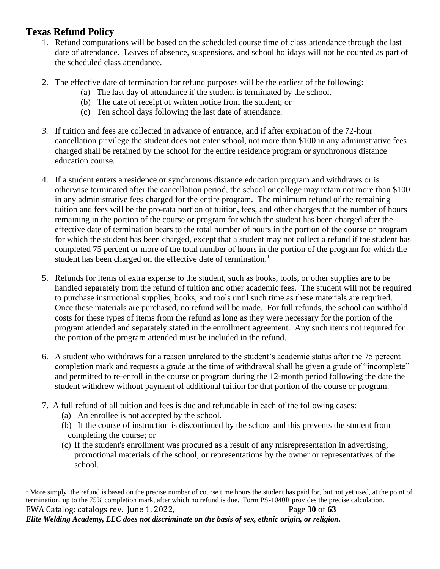# **Texas Refund Policy**

- 1. Refund computations will be based on the scheduled course time of class attendance through the last date of attendance. Leaves of absence, suspensions, and school holidays will not be counted as part of the scheduled class attendance.
- 2. The effective date of termination for refund purposes will be the earliest of the following:
	- (a) The last day of attendance if the student is terminated by the school.
	- (b) The date of receipt of written notice from the student; or
	- (c) Ten school days following the last date of attendance.
- *3.* If tuition and fees are collected in advance of entrance, and if after expiration of the 72-hour cancellation privilege the student does not enter school, not more than \$100 in any administrative fees charged shall be retained by the school for the entire residence program or synchronous distance education course*.*
- 4. If a student enters a residence or synchronous distance education program and withdraws or is otherwise terminated after the cancellation period, the school or college may retain not more than \$100 in any administrative fees charged for the entire program. The minimum refund of the remaining tuition and fees will be the pro-rata portion of tuition, fees, and other charges that the number of hours remaining in the portion of the course or program for which the student has been charged after the effective date of termination bears to the total number of hours in the portion of the course or program for which the student has been charged, except that a student may not collect a refund if the student has completed 75 percent or more of the total number of hours in the portion of the program for which the student has been charged on the effective date of termination.<sup>1</sup>
- 5. Refunds for items of extra expense to the student, such as books, tools, or other supplies are to be handled separately from the refund of tuition and other academic fees. The student will not be required to purchase instructional supplies, books, and tools until such time as these materials are required. Once these materials are purchased, no refund will be made. For full refunds, the school can withhold costs for these types of items from the refund as long as they were necessary for the portion of the program attended and separately stated in the enrollment agreement. Any such items not required for the portion of the program attended must be included in the refund.
- 6. A student who withdraws for a reason unrelated to the student's academic status after the 75 percent completion mark and requests a grade at the time of withdrawal shall be given a grade of "incomplete" and permitted to re-enroll in the course or program during the 12-month period following the date the student withdrew without payment of additional tuition for that portion of the course or program.
- 7. A full refund of all tuition and fees is due and refundable in each of the following cases:
	- (a) An enrollee is not accepted by the school.
	- (b) If the course of instruction is discontinued by the school and this prevents the student from completing the course; or
	- (c) If the student's enrollment was procured as a result of any misrepresentation in advertising, promotional materials of the school, or representations by the owner or representatives of the school.

EWA Catalog: catalogs rev. June 1, 2022, Page **30** of **63** <sup>1</sup> More simply, the refund is based on the precise number of course time hours the student has paid for, but not yet used, at the point of termination, up to the 75% completion mark, after which no refund is due. Form PS-1040R provides the precise calculation.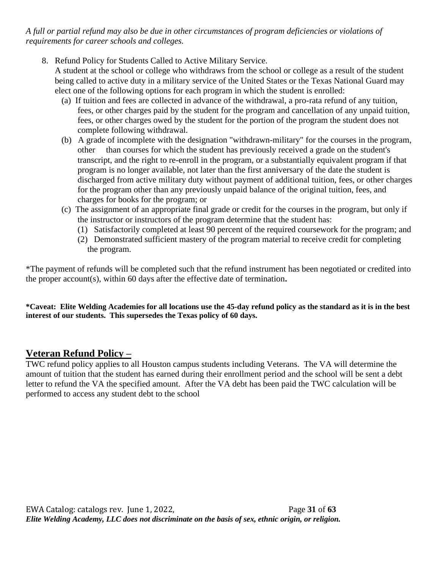*A full or partial refund may also be due in other circumstances of program deficiencies or violations of requirements for career schools and colleges.*

- 8. Refund Policy for Students Called to Active Military Service. A student at the school or college who withdraws from the school or college as a result of the student being called to active duty in a military service of the United States or the Texas National Guard may elect one of the following options for each program in which the student is enrolled:
	- (a) If tuition and fees are collected in advance of the withdrawal, a pro-rata refund of any tuition, fees, or other charges paid by the student for the program and cancellation of any unpaid tuition, fees, or other charges owed by the student for the portion of the program the student does not complete following withdrawal.
	- (b) A grade of incomplete with the designation "withdrawn-military" for the courses in the program, other than courses for which the student has previously received a grade on the student's transcript, and the right to re-enroll in the program, or a substantially equivalent program if that program is no longer available, not later than the first anniversary of the date the student is discharged from active military duty without payment of additional tuition, fees, or other charges for the program other than any previously unpaid balance of the original tuition, fees, and charges for books for the program; or
	- (c) The assignment of an appropriate final grade or credit for the courses in the program, but only if the instructor or instructors of the program determine that the student has:
		- (1) Satisfactorily completed at least 90 percent of the required coursework for the program; and
		- (2) Demonstrated sufficient mastery of the program material to receive credit for completing the program.

\*The payment of refunds will be completed such that the refund instrument has been negotiated or credited into the proper account(s), within 60 days after the effective date of termination**.** 

**\*Caveat: Elite Welding Academies for all locations use the 45-day refund policy as the standard as it is in the best interest of our students. This supersedes the Texas policy of 60 days.** 

## **Veteran Refund Policy –**

TWC refund policy applies to all Houston campus students including Veterans. The VA will determine the amount of tuition that the student has earned during their enrollment period and the school will be sent a debt letter to refund the VA the specified amount. After the VA debt has been paid the TWC calculation will be performed to access any student debt to the school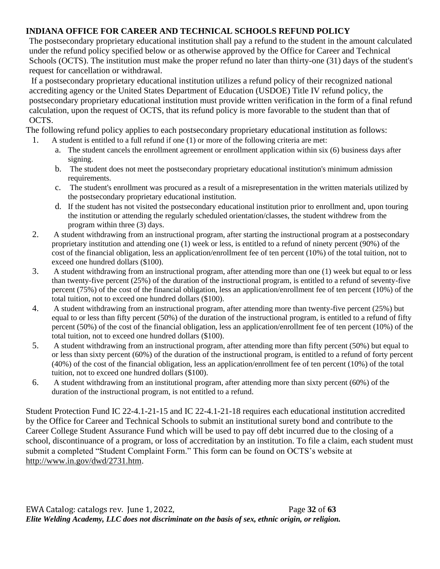#### **INDIANA OFFICE FOR CAREER AND TECHNICAL SCHOOLS REFUND POLICY**

The postsecondary proprietary educational institution shall pay a refund to the student in the amount calculated under the refund policy specified below or as otherwise approved by the Office for Career and Technical Schools (OCTS). The institution must make the proper refund no later than thirty-one (31) days of the student's request for cancellation or withdrawal.

If a postsecondary proprietary educational institution utilizes a refund policy of their recognized national accrediting agency or the United States Department of Education (USDOE) Title IV refund policy, the postsecondary proprietary educational institution must provide written verification in the form of a final refund calculation, upon the request of OCTS, that its refund policy is more favorable to the student than that of OCTS.

The following refund policy applies to each postsecondary proprietary educational institution as follows: 1. A student is entitled to a full refund if one (1) or more of the following criteria are met:

- a. The student cancels the enrollment agreement or enrollment application within six (6) business days after signing.
- b. The student does not meet the postsecondary proprietary educational institution's minimum admission requirements.
- c. The student's enrollment was procured as a result of a misrepresentation in the written materials utilized by the postsecondary proprietary educational institution.
- d. If the student has not visited the postsecondary educational institution prior to enrollment and, upon touring the institution or attending the regularly scheduled orientation/classes, the student withdrew from the program within three (3) days.
- 2. A student withdrawing from an instructional program, after starting the instructional program at a postsecondary proprietary institution and attending one (1) week or less, is entitled to a refund of ninety percent (90%) of the cost of the financial obligation, less an application/enrollment fee of ten percent (10%) of the total tuition, not to exceed one hundred dollars (\$100).
- 3. A student withdrawing from an instructional program, after attending more than one (1) week but equal to or less than twenty-five percent (25%) of the duration of the instructional program, is entitled to a refund of seventy-five percent (75%) of the cost of the financial obligation, less an application/enrollment fee of ten percent (10%) of the total tuition, not to exceed one hundred dollars (\$100).
- 4. A student withdrawing from an instructional program, after attending more than twenty-five percent (25%) but equal to or less than fifty percent (50%) of the duration of the instructional program, is entitled to a refund of fifty percent (50%) of the cost of the financial obligation, less an application/enrollment fee of ten percent (10%) of the total tuition, not to exceed one hundred dollars (\$100).
- 5. A student withdrawing from an instructional program, after attending more than fifty percent (50%) but equal to or less than sixty percent (60%) of the duration of the instructional program, is entitled to a refund of forty percent (40%) of the cost of the financial obligation, less an application/enrollment fee of ten percent (10%) of the total tuition, not to exceed one hundred dollars (\$100).
- 6. A student withdrawing from an institutional program, after attending more than sixty percent (60%) of the duration of the instructional program, is not entitled to a refund.

Student Protection Fund IC 22-4.1-21-15 and IC 22-4.1-21-18 requires each educational institution accredited by the Office for Career and Technical Schools to submit an institutional surety bond and contribute to the Career College Student Assurance Fund which will be used to pay off debt incurred due to the closing of a school, discontinuance of a program, or loss of accreditation by an institution. To file a claim, each student must submit a completed "Student Complaint Form." This form can be found on OCTS's website at [http://www.in.gov/dwd/2731.htm.](http://www.in.gov/dwd/2731.htm)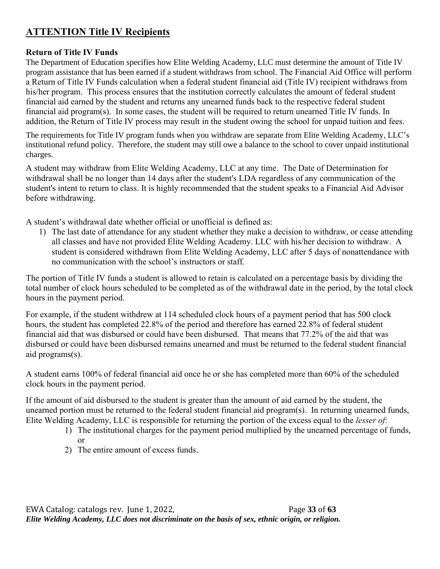# **ATTENTION Title IV Recipients**

#### **Return of Title IV Funds**

The Department of Education specifies how Elite Welding Academy, LLC must determine the amount of Title IV program assistance that has been earned if a student withdraws from school. The Financial Aid Office will perform a Return of Title IV Funds calculation when a federal student financial aid (Title IV) recipient withdraws from his/her program. This process ensures that the institution correctly calculates the amount of federal student financial aid earned by the student and returns any unearned funds back to the respective federal student financial aid program(s). In some cases, the student will be required to return unearned Title IV funds. In addition, the Return of Title IV process may result in the student owing the school for unpaid tuition and fees.

The requirements for Title IV program funds when you withdraw are separate from Elite Welding Academy, LLC's institutional refund policy. Therefore, the student may still owe a balance to the school to cover unpaid institutional charges.

A student may withdraw from Elite Welding Academy, LLC at any time. The Date of Determination for withdrawal shall be no longer than 14 days after the student's LDA regardless of any communication of the student's intent to return to class. It is highly recommended that the student speaks to a Financial Aid Advisor before withdrawing.

A student's withdrawal date whether official or unofficial is defined as:

1) The last date of attendance for any student whether they make a decision to withdraw, or cease attending all classes and have not provided Elite Welding Academy. LLC with his/her decision to withdraw. A student is considered withdrawn from Elite Welding Academy, LLC after 5 days of nonattendance with no communication with the school's instructors or staff.

The portion of Title IV funds a student is allowed to retain is calculated on a percentage basis by dividing the total number of clock hours scheduled to be completed as of the withdrawal date in the period, by the total clock hours in the payment period.

For example, if the student withdrew at 114 scheduled clock hours of a payment period that has 500 clock hours, the student has completed 22.8% of the period and therefore has earned 22.8% of federal student financial aid that was disbursed or could have been disbursed. That means that 77.2% of the aid that was disbursed or could have been disbursed remains unearned and must be returned to the federal student financial aid programs(s).

A student earns 100% of federal financial aid once he or she has completed more than 60% of the scheduled clock hours in the payment period.

If the amount of aid disbursed to the student is greater than the amount of aid earned by the student, the unearned portion must be returned to the federal student financial aid program(s). In returning unearned funds, Elite Welding Academy, LLC is responsible for returning the portion of the excess equal to the *lesser of*:

- 1) The institutional charges for the payment period multiplied by the unearned percentage of funds, or
- 2) The entire amount of excess funds.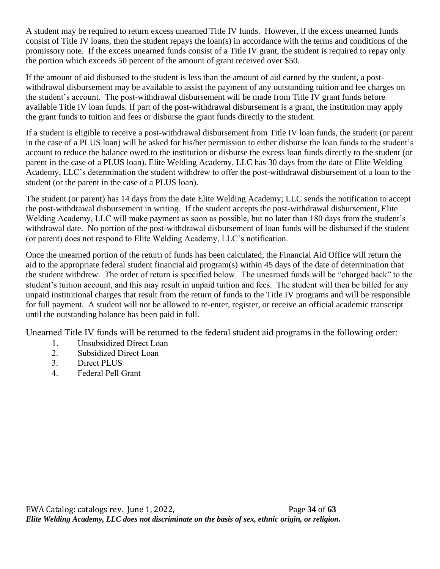A student may be required to return excess unearned Title IV funds. However, if the excess unearned funds consist of Title IV loans, then the student repays the loan(s) in accordance with the terms and conditions of the promissory note. If the excess unearned funds consist of a Title IV grant, the student is required to repay only the portion which exceeds 50 percent of the amount of grant received over \$50.

If the amount of aid disbursed to the student is less than the amount of aid earned by the student, a postwithdrawal disbursement may be available to assist the payment of any outstanding tuition and fee charges on the student's account. The post-withdrawal disbursement will be made from Title IV grant funds before available Title IV loan funds. If part of the post-withdrawal disbursement is a grant, the institution may apply the grant funds to tuition and fees or disburse the grant funds directly to the student.

If a student is eligible to receive a post-withdrawal disbursement from Title IV loan funds, the student (or parent in the case of a PLUS loan) will be asked for his/her permission to either disburse the loan funds to the student's account to reduce the balance owed to the institution or disburse the excess loan funds directly to the student (or parent in the case of a PLUS loan). Elite Welding Academy, LLC has 30 days from the date of Elite Welding Academy, LLC's determination the student withdrew to offer the post-withdrawal disbursement of a loan to the student (or the parent in the case of a PLUS loan).

The student (or parent) has 14 days from the date Elite Welding Academy; LLC sends the notification to accept the post-withdrawal disbursement in writing. If the student accepts the post-withdrawal disbursement, Elite Welding Academy, LLC will make payment as soon as possible, but no later than 180 days from the student's withdrawal date. No portion of the post-withdrawal disbursement of loan funds will be disbursed if the student (or parent) does not respond to Elite Welding Academy, LLC's notification.

Once the unearned portion of the return of funds has been calculated, the Financial Aid Office will return the aid to the appropriate federal student financial aid program(s) within 45 days of the date of determination that the student withdrew. The order of return is specified below. The unearned funds will be "charged back" to the student's tuition account, and this may result in unpaid tuition and fees. The student will then be billed for any unpaid institutional charges that result from the return of funds to the Title IV programs and will be responsible for full payment. A student will not be allowed to re-enter, register, or receive an official academic transcript until the outstanding balance has been paid in full.

Unearned Title IV funds will be returned to the federal student aid programs in the following order:

- 1. Unsubsidized Direct Loan
- 2. Subsidized Direct Loan
- 3. Direct PLUS
- 4. Federal Pell Grant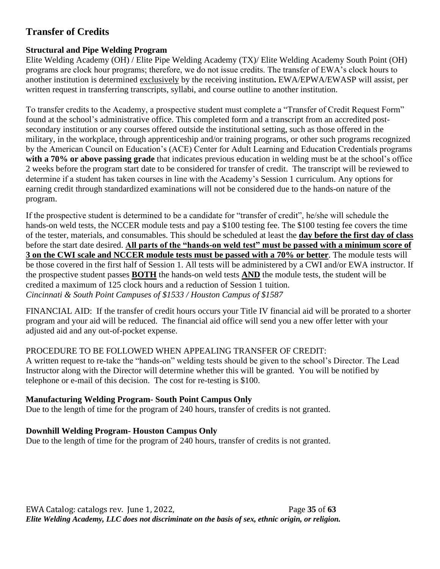# **Transfer of Credits**

#### **Structural and Pipe Welding Program**

Elite Welding Academy (OH) / Elite Pipe Welding Academy (TX)/ Elite Welding Academy South Point (OH) programs are clock hour programs; therefore, we do not issue credits. The transfer of EWA's clock hours to another institution is determined exclusively by the receiving institution**.** EWA/EPWA/EWASP will assist, per written request in transferring transcripts, syllabi, and course outline to another institution.

To transfer credits to the Academy, a prospective student must complete a "Transfer of Credit Request Form" found at the school's administrative office. This completed form and a transcript from an accredited postsecondary institution or any courses offered outside the institutional setting, such as those offered in the military, in the workplace, through apprenticeship and/or training programs, or other such programs recognized by the American Council on Education's (ACE) Center for Adult Learning and Education Credentials programs **with a 70% or above passing grade** that indicates previous education in welding must be at the school's office 2 weeks before the program start date to be considered for transfer of credit. The transcript will be reviewed to determine if a student has taken courses in line with the Academy's Session 1 curriculum. Any options for earning credit through standardized examinations will not be considered due to the hands-on nature of the program.

If the prospective student is determined to be a candidate for "transfer of credit", he/she will schedule the hands-on weld tests, the NCCER module tests and pay a \$100 testing fee. The \$100 testing fee covers the time of the tester, materials, and consumables. This should be scheduled at least the **day before the first day of class** before the start date desired. **All parts of the "hands-on weld test" must be passed with a minimum score of 3 on the CWI scale and NCCER module tests must be passed with a 70% or better**. The module tests will be those covered in the first half of Session 1. All tests will be administered by a CWI and/or EWA instructor. If the prospective student passes **BOTH** the hands-on weld tests **AND** the module tests, the student will be credited a maximum of 125 clock hours and a reduction of Session 1 tuition. *Cincinnati & South Point Campuses of \$1533 / Houston Campus of \$1587*

FINANCIAL AID: If the transfer of credit hours occurs your Title IV financial aid will be prorated to a shorter program and your aid will be reduced. The financial aid office will send you a new offer letter with your adjusted aid and any out-of-pocket expense.

#### PROCEDURE TO BE FOLLOWED WHEN APPEALING TRANSFER OF CREDIT:

A written request to re-take the "hands-on" welding tests should be given to the school's Director. The Lead Instructor along with the Director will determine whether this will be granted. You will be notified by telephone or e-mail of this decision. The cost for re-testing is \$100.

#### **Manufacturing Welding Program- South Point Campus Only**

Due to the length of time for the program of 240 hours, transfer of credits is not granted.

#### **Downhill Welding Program- Houston Campus Only**

Due to the length of time for the program of 240 hours, transfer of credits is not granted.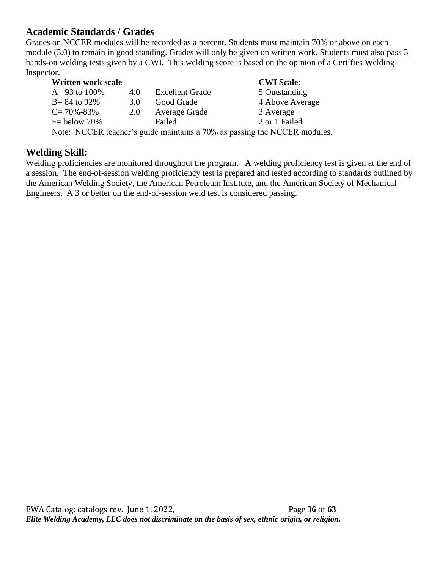## **Academic Standards / Grades**

Grades on NCCER modules will be recorded as a percent. Students must maintain 70% or above on each module (3.0) to remain in good standing. Grades will only be given on written work. Students must also pass 3 hands-on welding tests given by a CWI. This welding score is based on the opinion of a Certifies Welding Inspector.

| <b>Written work scale</b> |     |                        | <b>CWI Scale:</b>                                                         |
|---------------------------|-----|------------------------|---------------------------------------------------------------------------|
| $A = 93$ to 100%          | 4.0 | <b>Excellent Grade</b> | 5 Outstanding                                                             |
| $B = 84$ to 92%           | 3.0 | Good Grade             | 4 Above Average                                                           |
| $C = 70\% - 83\%$         | 2.0 | Average Grade          | 3 Average                                                                 |
| $F =$ below 70%           |     | Failed                 | 2 or 1 Failed                                                             |
|                           |     |                        | Note: NCCER teacher's guide maintains a 70% as passing the NCCER modules. |

#### **Welding Skill:**

Welding proficiencies are monitored throughout the program. A welding proficiency test is given at the end of a session. The end-of-session welding proficiency test is prepared and tested according to standards outlined by the American Welding Society, the American Petroleum Institute, and the American Society of Mechanical Engineers. A 3 or better on the end-of-session weld test is considered passing.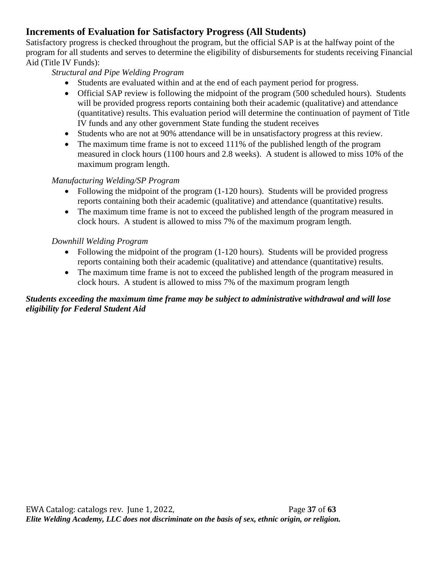# **Increments of Evaluation for Satisfactory Progress (All Students)**

Satisfactory progress is checked throughout the program, but the official SAP is at the halfway point of the program for all students and serves to determine the eligibility of disbursements for students receiving Financial Aid (Title IV Funds):

#### *Structural and Pipe Welding Program*

- Students are evaluated within and at the end of each payment period for progress.
- Official SAP review is following the midpoint of the program (500 scheduled hours). Students will be provided progress reports containing both their academic (qualitative) and attendance (quantitative) results. This evaluation period will determine the continuation of payment of Title IV funds and any other government State funding the student receives
- Students who are not at 90% attendance will be in unsatisfactory progress at this review.
- The maximum time frame is not to exceed 111% of the published length of the program measured in clock hours (1100 hours and 2.8 weeks). A student is allowed to miss 10% of the maximum program length.

#### *Manufacturing Welding/SP Program*

- Following the midpoint of the program (1-120 hours). Students will be provided progress reports containing both their academic (qualitative) and attendance (quantitative) results.
- The maximum time frame is not to exceed the published length of the program measured in clock hours. A student is allowed to miss 7% of the maximum program length.

#### *Downhill Welding Program*

- Following the midpoint of the program (1-120 hours). Students will be provided progress reports containing both their academic (qualitative) and attendance (quantitative) results.
- The maximum time frame is not to exceed the published length of the program measured in clock hours. A student is allowed to miss 7% of the maximum program length

#### *Students exceeding the maximum time frame may be subject to administrative withdrawal and will lose eligibility for Federal Student Aid*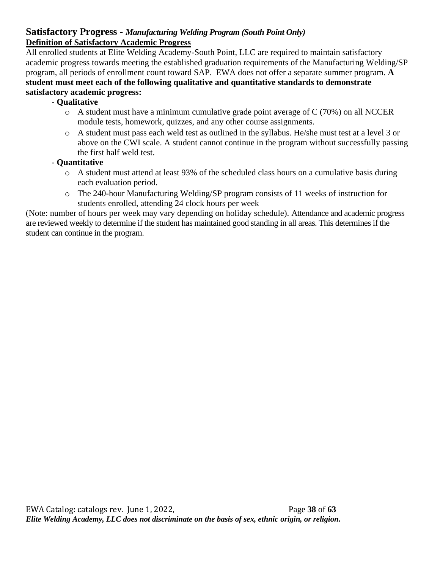#### **Satisfactory Progress -** *Manufacturing Welding Program (South Point Only)* **Definition of Satisfactory Academic Progress**

All enrolled students at Elite Welding Academy-South Point, LLC are required to maintain satisfactory academic progress towards meeting the established graduation requirements of the Manufacturing Welding/SP program, all periods of enrollment count toward SAP. EWA does not offer a separate summer program. **A student must meet each of the following qualitative and quantitative standards to demonstrate satisfactory academic progress:** 

#### - **Qualitative**

- $\circ$  A student must have a minimum cumulative grade point average of C (70%) on all NCCER module tests, homework, quizzes, and any other course assignments.
- o A student must pass each weld test as outlined in the syllabus. He/she must test at a level 3 or above on the CWI scale. A student cannot continue in the program without successfully passing the first half weld test.

#### - **Quantitative**

- o A student must attend at least 93% of the scheduled class hours on a cumulative basis during each evaluation period.
- o The 240-hour Manufacturing Welding/SP program consists of 11 weeks of instruction for students enrolled, attending 24 clock hours per week

(Note: number of hours per week may vary depending on holiday schedule). Attendance and academic progress are reviewed weekly to determine if the student has maintained good standing in all areas. This determines if the student can continue in the program.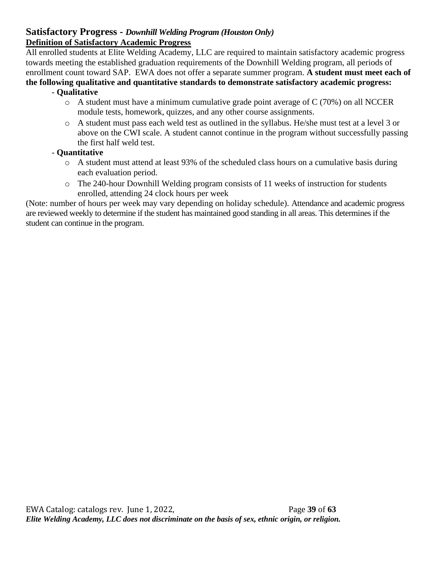#### **Satisfactory Progress -** *Downhill Welding Program (Houston Only)* **Definition of Satisfactory Academic Progress**

All enrolled students at Elite Welding Academy, LLC are required to maintain satisfactory academic progress towards meeting the established graduation requirements of the Downhill Welding program, all periods of enrollment count toward SAP. EWA does not offer a separate summer program. **A student must meet each of** 

#### **the following qualitative and quantitative standards to demonstrate satisfactory academic progress:**  - **Qualitative**

- o A student must have a minimum cumulative grade point average of C (70%) on all NCCER module tests, homework, quizzes, and any other course assignments.
- o A student must pass each weld test as outlined in the syllabus. He/she must test at a level 3 or above on the CWI scale. A student cannot continue in the program without successfully passing the first half weld test.

#### - **Quantitative**

- o A student must attend at least 93% of the scheduled class hours on a cumulative basis during each evaluation period.
- o The 240-hour Downhill Welding program consists of 11 weeks of instruction for students enrolled, attending 24 clock hours per week

(Note: number of hours per week may vary depending on holiday schedule). Attendance and academic progress are reviewed weekly to determine if the student has maintained good standing in all areas. This determines if the student can continue in the program.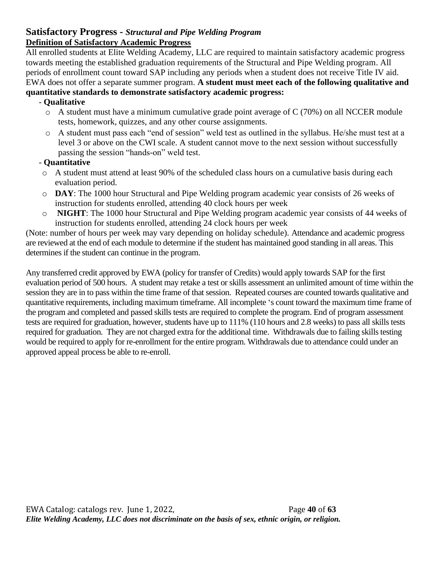#### **Satisfactory Progress -** *Structural and Pipe Welding Program* **Definition of Satisfactory Academic Progress**

All enrolled students at Elite Welding Academy, LLC are required to maintain satisfactory academic progress towards meeting the established graduation requirements of the Structural and Pipe Welding program. All periods of enrollment count toward SAP including any periods when a student does not receive Title IV aid. EWA does not offer a separate summer program. **A student must meet each of the following qualitative and quantitative standards to demonstrate satisfactory academic progress:** 

#### - **Qualitative**

- o A student must have a minimum cumulative grade point average of C (70%) on all NCCER module tests, homework, quizzes, and any other course assignments.
- o A student must pass each "end of session" weld test as outlined in the syllabus. He/she must test at a level 3 or above on the CWI scale. A student cannot move to the next session without successfully passing the session "hands-on" weld test.

#### - **Quantitative**

- o A student must attend at least 90% of the scheduled class hours on a cumulative basis during each evaluation period.
- o **DAY**: The 1000 hour Structural and Pipe Welding program academic year consists of 26 weeks of instruction for students enrolled, attending 40 clock hours per week
- o **NIGHT**: The 1000 hour Structural and Pipe Welding program academic year consists of 44 weeks of instruction for students enrolled, attending 24 clock hours per week

(Note: number of hours per week may vary depending on holiday schedule). Attendance and academic progress are reviewed at the end of each module to determine if the student has maintained good standing in all areas. This determines if the student can continue in the program.

Any transferred credit approved by EWA (policy for transfer of Credits) would apply towards SAP for the first evaluation period of 500 hours. A student may retake a test or skills assessment an unlimited amount of time within the session they are in to pass within the time frame of that session. Repeated courses are counted towards qualitative and quantitative requirements, including maximum timeframe. All incomplete 's count toward the maximum time frame of the program and completed and passed skills tests are required to complete the program. End of program assessment tests are required for graduation, however, students have up to 111% (110 hours and 2.8 weeks) to pass all skills tests required for graduation. They are not charged extra for the additional time. Withdrawals due to failing skills testing would be required to apply for re-enrollment for the entire program. Withdrawals due to attendance could under an approved appeal process be able to re-enroll.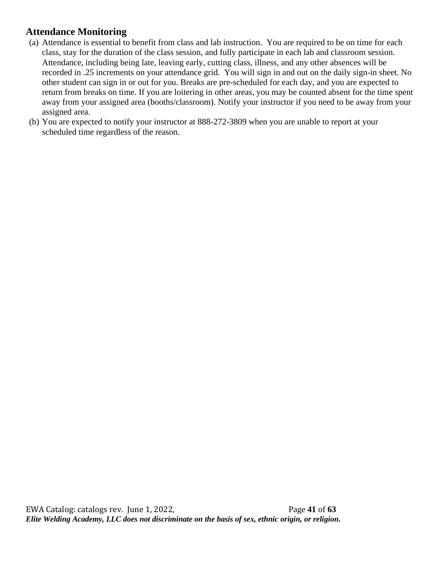## **Attendance Monitoring**

- (a) Attendance is essential to benefit from class and lab instruction. You are required to be on time for each class, stay for the duration of the class session, and fully participate in each lab and classroom session. Attendance, including being late, leaving early, cutting class, illness, and any other absences will be recorded in .25 increments on your attendance grid. You will sign in and out on the daily sign-in sheet. No other student can sign in or out for you. Breaks are pre-scheduled for each day, and you are expected to return from breaks on time. If you are loitering in other areas, you may be counted absent for the time spent away from your assigned area (booths/classroom). Notify your instructor if you need to be away from your assigned area.
- (b) You are expected to notify your instructor at 888-272-3809 when you are unable to report at your scheduled time regardless of the reason.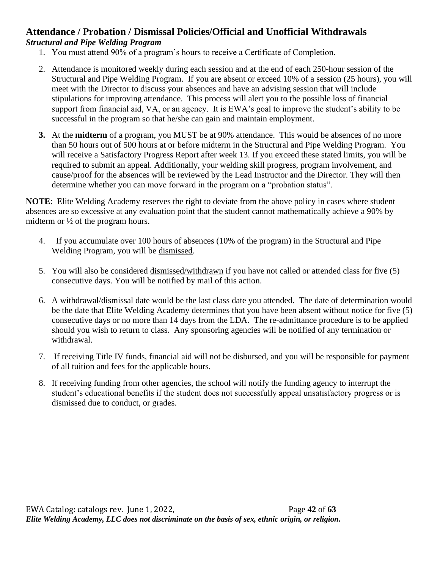#### **Attendance / Probation / Dismissal Policies/Official and Unofficial Withdrawals** *Structural and Pipe Welding Program*

- 1. You must attend 90% of a program's hours to receive a Certificate of Completion.
- 2. Attendance is monitored weekly during each session and at the end of each 250-hour session of the Structural and Pipe Welding Program. If you are absent or exceed 10% of a session (25 hours), you will meet with the Director to discuss your absences and have an advising session that will include stipulations for improving attendance. This process will alert you to the possible loss of financial support from financial aid, VA, or an agency. It is EWA's goal to improve the student's ability to be successful in the program so that he/she can gain and maintain employment.
- **3.** At the **midterm** of a program, you MUST be at 90% attendance. This would be absences of no more than 50 hours out of 500 hours at or before midterm in the Structural and Pipe Welding Program. You will receive a Satisfactory Progress Report after week 13. If you exceed these stated limits, you will be required to submit an appeal. Additionally, your welding skill progress, program involvement, and cause/proof for the absences will be reviewed by the Lead Instructor and the Director. They will then determine whether you can move forward in the program on a "probation status".

**NOTE**: Elite Welding Academy reserves the right to deviate from the above policy in cases where student absences are so excessive at any evaluation point that the student cannot mathematically achieve a 90% by midterm or ½ of the program hours.

- 4. If you accumulate over 100 hours of absences (10% of the program) in the Structural and Pipe Welding Program, you will be dismissed.
- 5. You will also be considered dismissed/withdrawn if you have not called or attended class for five (5) consecutive days. You will be notified by mail of this action.
- 6. A withdrawal/dismissal date would be the last class date you attended. The date of determination would be the date that Elite Welding Academy determines that you have been absent without notice for five (5) consecutive days or no more than 14 days from the LDA. The re-admittance procedure is to be applied should you wish to return to class. Any sponsoring agencies will be notified of any termination or withdrawal.
- 7. If receiving Title IV funds, financial aid will not be disbursed, and you will be responsible for payment of all tuition and fees for the applicable hours.
- 8. If receiving funding from other agencies, the school will notify the funding agency to interrupt the student's educational benefits if the student does not successfully appeal unsatisfactory progress or is dismissed due to conduct, or grades.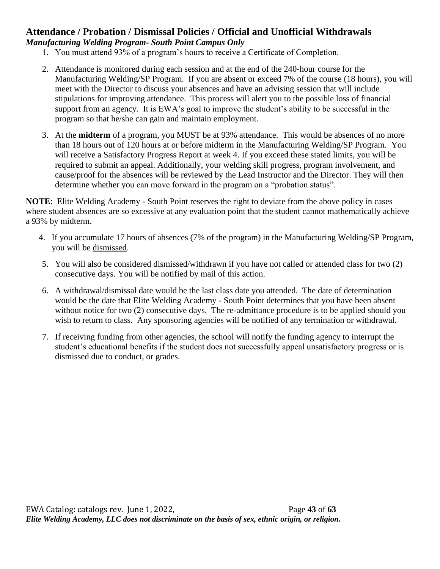#### **Attendance / Probation / Dismissal Policies / Official and Unofficial Withdrawals** *Manufacturing Welding Program- South Point Campus Only*

- 1. You must attend 93% of a program's hours to receive a Certificate of Completion.
- 2. Attendance is monitored during each session and at the end of the 240-hour course for the Manufacturing Welding/SP Program. If you are absent or exceed 7% of the course (18 hours), you will meet with the Director to discuss your absences and have an advising session that will include stipulations for improving attendance. This process will alert you to the possible loss of financial support from an agency. It is EWA's goal to improve the student's ability to be successful in the program so that he/she can gain and maintain employment.
- 3. At the **midterm** of a program, you MUST be at 93% attendance. This would be absences of no more than 18 hours out of 120 hours at or before midterm in the Manufacturing Welding/SP Program. You will receive a Satisfactory Progress Report at week 4. If you exceed these stated limits, you will be required to submit an appeal. Additionally, your welding skill progress, program involvement, and cause/proof for the absences will be reviewed by the Lead Instructor and the Director. They will then determine whether you can move forward in the program on a "probation status".

**NOTE**: Elite Welding Academy - South Point reserves the right to deviate from the above policy in cases where student absences are so excessive at any evaluation point that the student cannot mathematically achieve a 93% by midterm.

- 4. If you accumulate 17 hours of absences (7% of the program) in the Manufacturing Welding/SP Program, you will be dismissed.
- 5. You will also be considered dismissed/withdrawn if you have not called or attended class for two (2) consecutive days. You will be notified by mail of this action.
- 6. A withdrawal/dismissal date would be the last class date you attended. The date of determination would be the date that Elite Welding Academy - South Point determines that you have been absent without notice for two (2) consecutive days. The re-admittance procedure is to be applied should you wish to return to class. Any sponsoring agencies will be notified of any termination or withdrawal.
- 7. If receiving funding from other agencies, the school will notify the funding agency to interrupt the student's educational benefits if the student does not successfully appeal unsatisfactory progress or is dismissed due to conduct, or grades.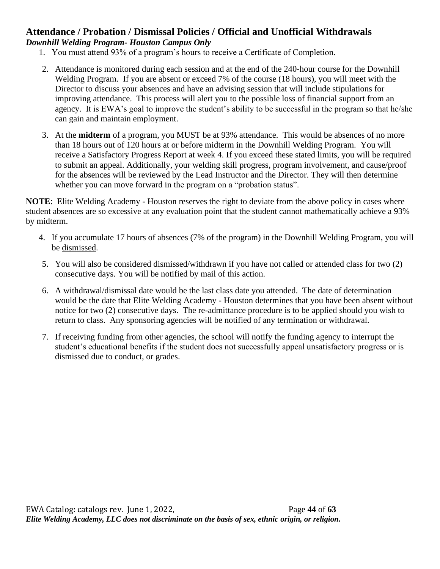#### **Attendance / Probation / Dismissal Policies / Official and Unofficial Withdrawals** *Downhill Welding Program- Houston Campus Only*

- 1. You must attend 93% of a program's hours to receive a Certificate of Completion.
- 2. Attendance is monitored during each session and at the end of the 240-hour course for the Downhill Welding Program. If you are absent or exceed 7% of the course (18 hours), you will meet with the Director to discuss your absences and have an advising session that will include stipulations for improving attendance. This process will alert you to the possible loss of financial support from an agency. It is EWA's goal to improve the student's ability to be successful in the program so that he/she can gain and maintain employment.
- 3. At the **midterm** of a program, you MUST be at 93% attendance. This would be absences of no more than 18 hours out of 120 hours at or before midterm in the Downhill Welding Program. You will receive a Satisfactory Progress Report at week 4. If you exceed these stated limits, you will be required to submit an appeal. Additionally, your welding skill progress, program involvement, and cause/proof for the absences will be reviewed by the Lead Instructor and the Director. They will then determine whether you can move forward in the program on a "probation status".

**NOTE**: Elite Welding Academy - Houston reserves the right to deviate from the above policy in cases where student absences are so excessive at any evaluation point that the student cannot mathematically achieve a 93% by midterm.

- 4. If you accumulate 17 hours of absences (7% of the program) in the Downhill Welding Program, you will be dismissed.
- 5. You will also be considered dismissed/withdrawn if you have not called or attended class for two (2) consecutive days. You will be notified by mail of this action.
- 6. A withdrawal/dismissal date would be the last class date you attended. The date of determination would be the date that Elite Welding Academy - Houston determines that you have been absent without notice for two (2) consecutive days. The re-admittance procedure is to be applied should you wish to return to class. Any sponsoring agencies will be notified of any termination or withdrawal.
- 7. If receiving funding from other agencies, the school will notify the funding agency to interrupt the student's educational benefits if the student does not successfully appeal unsatisfactory progress or is dismissed due to conduct, or grades.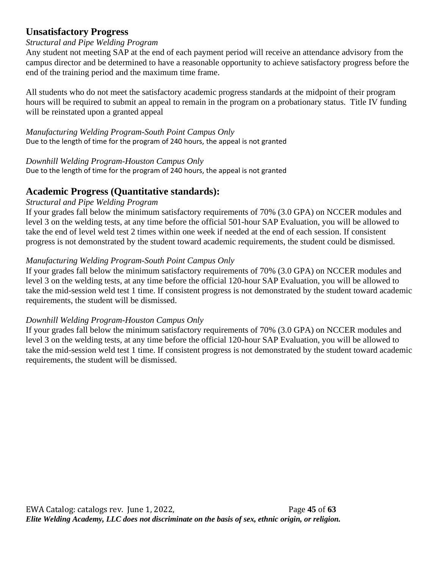## **Unsatisfactory Progress**

#### *Structural and Pipe Welding Program*

Any student not meeting SAP at the end of each payment period will receive an attendance advisory from the campus director and be determined to have a reasonable opportunity to achieve satisfactory progress before the end of the training period and the maximum time frame.

All students who do not meet the satisfactory academic progress standards at the midpoint of their program hours will be required to submit an appeal to remain in the program on a probationary status. Title IV funding will be reinstated upon a granted appeal

*Manufacturing Welding Program-South Point Campus Only* Due to the length of time for the program of 240 hours, the appeal is not granted

*Downhill Welding Program-Houston Campus Only*

Due to the length of time for the program of 240 hours, the appeal is not granted

## **Academic Progress (Quantitative standards):**

#### *Structural and Pipe Welding Program*

If your grades fall below the minimum satisfactory requirements of 70% (3.0 GPA) on NCCER modules and level 3 on the welding tests, at any time before the official 501-hour SAP Evaluation, you will be allowed to take the end of level weld test 2 times within one week if needed at the end of each session. If consistent progress is not demonstrated by the student toward academic requirements, the student could be dismissed.

#### *Manufacturing Welding Program-South Point Campus Only*

If your grades fall below the minimum satisfactory requirements of 70% (3.0 GPA) on NCCER modules and level 3 on the welding tests, at any time before the official 120-hour SAP Evaluation, you will be allowed to take the mid-session weld test 1 time. If consistent progress is not demonstrated by the student toward academic requirements, the student will be dismissed.

#### *Downhill Welding Program-Houston Campus Only*

If your grades fall below the minimum satisfactory requirements of 70% (3.0 GPA) on NCCER modules and level 3 on the welding tests, at any time before the official 120-hour SAP Evaluation, you will be allowed to take the mid-session weld test 1 time. If consistent progress is not demonstrated by the student toward academic requirements, the student will be dismissed.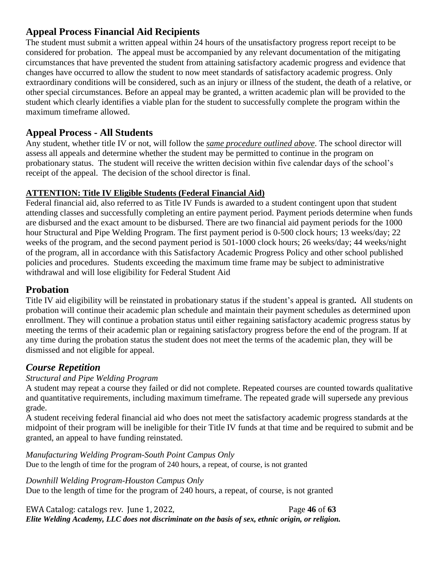## **Appeal Process Financial Aid Recipients**

The student must submit a written appeal within 24 hours of the unsatisfactory progress report receipt to be considered for probation. The appeal must be accompanied by any relevant documentation of the mitigating circumstances that have prevented the student from attaining satisfactory academic progress and evidence that changes have occurred to allow the student to now meet standards of satisfactory academic progress. Only extraordinary conditions will be considered, such as an injury or illness of the student, the death of a relative, or other special circumstances. Before an appeal may be granted, a written academic plan will be provided to the student which clearly identifies a viable plan for the student to successfully complete the program within the maximum timeframe allowed.

## **Appeal Process - All Students**

Any student, whether title IV or not, will follow the *same procedure outlined above*. The school director will assess all appeals and determine whether the student may be permitted to continue in the program on probationary status. The student will receive the written decision within five calendar days of the school's receipt of the appeal. The decision of the school director is final.

#### **ATTENTION: Title IV Eligible Students (Federal Financial Aid)**

Federal financial aid, also referred to as Title IV Funds is awarded to a student contingent upon that student attending classes and successfully completing an entire payment period. Payment periods determine when funds are disbursed and the exact amount to be disbursed. There are two financial aid payment periods for the 1000 hour Structural and Pipe Welding Program. The first payment period is 0-500 clock hours; 13 weeks/day; 22 weeks of the program, and the second payment period is 501-1000 clock hours; 26 weeks/day; 44 weeks/night of the program, all in accordance with this Satisfactory Academic Progress Policy and other school published policies and procedures. Students exceeding the maximum time frame may be subject to administrative withdrawal and will lose eligibility for Federal Student Aid

# **Probation**

Title IV aid eligibility will be reinstated in probationary status if the student's appeal is granted**.** All students on probation will continue their academic plan schedule and maintain their payment schedules as determined upon enrollment. They will continue a probation status until either regaining satisfactory academic progress status by meeting the terms of their academic plan or regaining satisfactory progress before the end of the program. If at any time during the probation status the student does not meet the terms of the academic plan, they will be dismissed and not eligible for appeal.

## *Course Repetition*

#### *Structural and Pipe Welding Program*

A student may repeat a course they failed or did not complete. Repeated courses are counted towards qualitative and quantitative requirements, including maximum timeframe. The repeated grade will supersede any previous grade.

A student receiving federal financial aid who does not meet the satisfactory academic progress standards at the midpoint of their program will be ineligible for their Title IV funds at that time and be required to submit and be granted, an appeal to have funding reinstated.

*Manufacturing Welding Program-South Point Campus Only* Due to the length of time for the program of 240 hours, a repeat, of course, is not granted

*Downhill Welding Program-Houston Campus Only* Due to the length of time for the program of 240 hours, a repeat, of course, is not granted

EWA Catalog: catalogs rev. June 1, 2022, Page **46** of **63** *Elite Welding Academy, LLC does not discriminate on the basis of sex, ethnic origin, or religion.*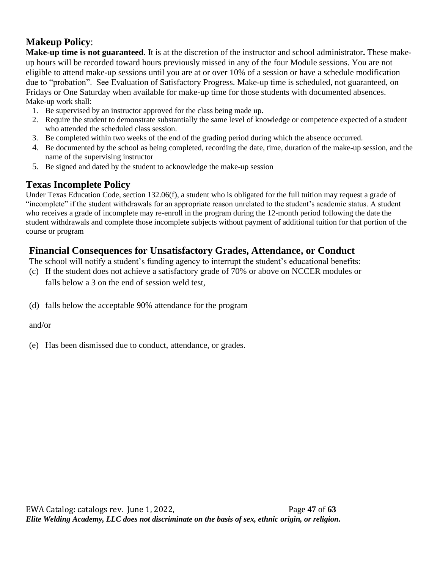# **Makeup Policy**:

**Make-up time is not guaranteed**. It is at the discretion of the instructor and school administrator**.** These makeup hours will be recorded toward hours previously missed in any of the four Module sessions. You are not eligible to attend make-up sessions until you are at or over 10% of a session or have a schedule modification due to "probation". See Evaluation of Satisfactory Progress. Make-up time is scheduled, not guaranteed, on Fridays or One Saturday when available for make-up time for those students with documented absences. Make-up work shall:

- 1. Be supervised by an instructor approved for the class being made up.
- 2. Require the student to demonstrate substantially the same level of knowledge or competence expected of a student who attended the scheduled class session.
- 3. Be completed within two weeks of the end of the grading period during which the absence occurred.
- 4. Be documented by the school as being completed, recording the date, time, duration of the make-up session, and the name of the supervising instructor
- 5. Be signed and dated by the student to acknowledge the make-up session

# **Texas Incomplete Policy**

Under Texas Education Code, section 132.06(f), a student who is obligated for the full tuition may request a grade of "incomplete" if the student withdrawals for an appropriate reason unrelated to the student's academic status. A student who receives a grade of incomplete may re-enroll in the program during the 12-month period following the date the student withdrawals and complete those incomplete subjects without payment of additional tuition for that portion of the course or program

# **Financial Consequences for Unsatisfactory Grades, Attendance, or Conduct**

The school will notify a student's funding agency to interrupt the student's educational benefits:

- (c) If the student does not achieve a satisfactory grade of 70% or above on NCCER modules or falls below a 3 on the end of session weld test,
- (d) falls below the acceptable 90% attendance for the program

#### and/or

(e) Has been dismissed due to conduct, attendance, or grades.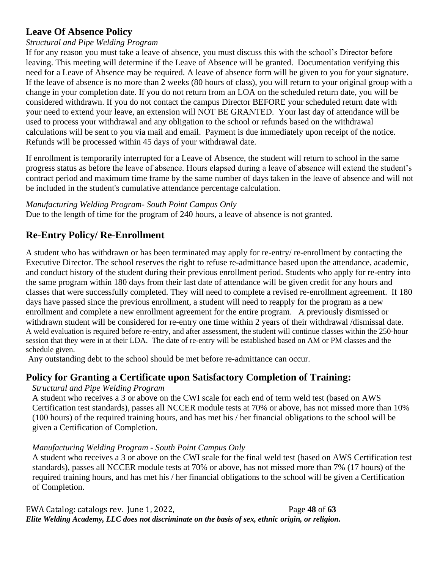# **Leave Of Absence Policy**

#### *Structural and Pipe Welding Program*

If for any reason you must take a leave of absence, you must discuss this with the school's Director before leaving. This meeting will determine if the Leave of Absence will be granted. Documentation verifying this need for a Leave of Absence may be required. A leave of absence form will be given to you for your signature. If the leave of absence is no more than 2 weeks (80 hours of class), you will return to your original group with a change in your completion date. If you do not return from an LOA on the scheduled return date, you will be considered withdrawn. If you do not contact the campus Director BEFORE your scheduled return date with your need to extend your leave, an extension will NOT BE GRANTED. Your last day of attendance will be used to process your withdrawal and any obligation to the school or refunds based on the withdrawal calculations will be sent to you via mail and email. Payment is due immediately upon receipt of the notice. Refunds will be processed within 45 days of your withdrawal date.

If enrollment is temporarily interrupted for a Leave of Absence, the student will return to school in the same progress status as before the leave of absence. Hours elapsed during a leave of absence will extend the student's contract period and maximum time frame by the same number of days taken in the leave of absence and will not be included in the student's cumulative attendance percentage calculation.

#### *Manufacturing Welding Program- South Point Campus Only*

Due to the length of time for the program of 240 hours, a leave of absence is not granted.

# **Re-Entry Policy/ Re-Enrollment**

A student who has withdrawn or has been terminated may apply for re-entry/ re-enrollment by contacting the Executive Director. The school reserves the right to refuse re-admittance based upon the attendance, academic, and conduct history of the student during their previous enrollment period. Students who apply for re-entry into the same program within 180 days from their last date of attendance will be given credit for any hours and classes that were successfully completed. They will need to complete a revised re-enrollment agreement. If 180 days have passed since the previous enrollment, a student will need to reapply for the program as a new enrollment and complete a new enrollment agreement for the entire program. A previously dismissed or withdrawn student will be considered for re-entry one time within 2 years of their withdrawal /dismissal date. A weld evaluation is required before re-entry, and after assessment, the student will continue classes within the 250-hour session that they were in at their LDA. The date of re-entry will be established based on AM or PM classes and the schedule given.

Any outstanding debt to the school should be met before re-admittance can occur.

# **Policy for Granting a Certificate upon Satisfactory Completion of Training:**

#### *Structural and Pipe Welding Program*

A student who receives a 3 or above on the CWI scale for each end of term weld test (based on AWS Certification test standards), passes all NCCER module tests at 70% or above, has not missed more than 10% (100 hours) of the required training hours, and has met his / her financial obligations to the school will be given a Certification of Completion.

#### *Manufacturing Welding Program - South Point Campus Only*

A student who receives a 3 or above on the CWI scale for the final weld test (based on AWS Certification test standards), passes all NCCER module tests at 70% or above, has not missed more than 7% (17 hours) of the required training hours, and has met his / her financial obligations to the school will be given a Certification of Completion.

EWA Catalog: catalogs rev. June 1, 2022, Page **48** of **63** *Elite Welding Academy, LLC does not discriminate on the basis of sex, ethnic origin, or religion.*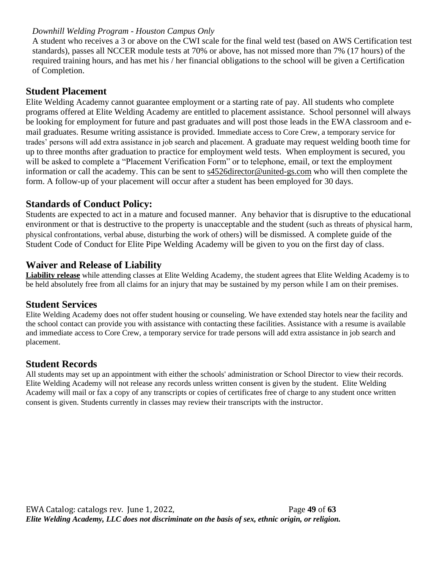#### *Downhill Welding Program - Houston Campus Only*

A student who receives a 3 or above on the CWI scale for the final weld test (based on AWS Certification test standards), passes all NCCER module tests at 70% or above, has not missed more than 7% (17 hours) of the required training hours, and has met his / her financial obligations to the school will be given a Certification of Completion.

#### **Student Placement**

Elite Welding Academy cannot guarantee employment or a starting rate of pay. All students who complete programs offered at Elite Welding Academy are entitled to placement assistance. School personnel will always be looking for employment for future and past graduates and will post those leads in the EWA classroom and email graduates. Resume writing assistance is provided. Immediate access to Core Crew, a temporary service for trades' persons will add extra assistance in job search and placement. A graduate may request welding booth time for up to three months after graduation to practice for employment weld tests. When employment is secured, you will be asked to complete a "Placement Verification Form" or to telephone, email, or text the employment information or call the academy. This can be sent to [s4526director@united-gs.com](mailto:s4526director@united-gs.com) who will then complete the form. A follow-up of your placement will occur after a student has been employed for 30 days.

#### **Standards of Conduct Policy:**

Students are expected to act in a mature and focused manner. Any behavior that is disruptive to the educational environment or that is destructive to the property is unacceptable and the student (such as threats of physical harm, physical confrontations, verbal abuse, disturbing the work of others) will be dismissed. A complete guide of the Student Code of Conduct for Elite Pipe Welding Academy will be given to you on the first day of class.

#### **Waiver and Release of Liability**

**Liability release** while attending classes at Elite Welding Academy, the student agrees that Elite Welding Academy is to be held absolutely free from all claims for an injury that may be sustained by my person while I am on their premises.

#### **Student Services**

Elite Welding Academy does not offer student housing or counseling. We have extended stay hotels near the facility and the school contact can provide you with assistance with contacting these facilities. Assistance with a resume is available and immediate access to Core Crew, a temporary service for trade persons will add extra assistance in job search and placement.

## **Student Records**

All students may set up an appointment with either the schools' administration or School Director to view their records. Elite Welding Academy will not release any records unless written consent is given by the student. Elite Welding Academy will mail or fax a copy of any transcripts or copies of certificates free of charge to any student once written consent is given. Students currently in classes may review their transcripts with the instructor.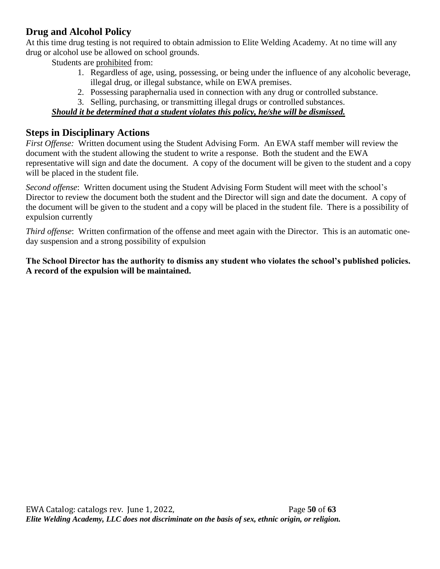## **Drug and Alcohol Policy**

At this time drug testing is not required to obtain admission to Elite Welding Academy. At no time will any drug or alcohol use be allowed on school grounds.

Students are prohibited from:

- 1. Regardless of age, using, possessing, or being under the influence of any alcoholic beverage, illegal drug, or illegal substance, while on EWA premises.
- 2. Possessing paraphernalia used in connection with any drug or controlled substance.
- 3. Selling, purchasing, or transmitting illegal drugs or controlled substances.

## *Should it be determined that a student violates this policy, he/she will be dismissed.*

#### **Steps in Disciplinary Actions**

*First Offense:* Written document using the Student Advising Form. An EWA staff member will review the document with the student allowing the student to write a response. Both the student and the EWA representative will sign and date the document. A copy of the document will be given to the student and a copy will be placed in the student file.

*Second offense*: Written document using the Student Advising Form Student will meet with the school's Director to review the document both the student and the Director will sign and date the document. A copy of the document will be given to the student and a copy will be placed in the student file. There is a possibility of expulsion currently

*Third offense*: Written confirmation of the offense and meet again with the Director. This is an automatic oneday suspension and a strong possibility of expulsion

**The School Director has the authority to dismiss any student who violates the school's published policies. A record of the expulsion will be maintained.**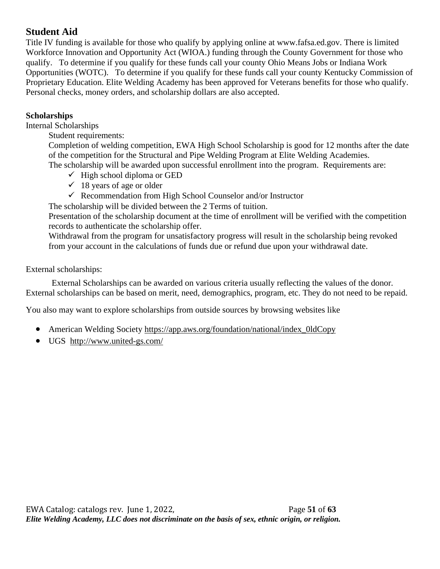# **Student Aid**

Title IV funding is available for those who qualify by applying online at www.fafsa.ed.gov. There is limited Workforce Innovation and Opportunity Act (WIOA.) funding through the County Government for those who qualify. To determine if you qualify for these funds call your county Ohio Means Jobs or Indiana Work Opportunities (WOTC). To determine if you qualify for these funds call your county Kentucky Commission of Proprietary Education. Elite Welding Academy has been approved for Veterans benefits for those who qualify. Personal checks, money orders, and scholarship dollars are also accepted.

#### **Scholarships**

Internal Scholarships

Student requirements:

Completion of welding competition, EWA High School Scholarship is good for 12 months after the date of the competition for the Structural and Pipe Welding Program at Elite Welding Academies.

The scholarship will be awarded upon successful enrollment into the program. Requirements are:

- $\checkmark$  High school diploma or GED
- $\checkmark$  18 years of age or older
- ✓ Recommendation from High School Counselor and/or Instructor

The scholarship will be divided between the 2 Terms of tuition.

Presentation of the scholarship document at the time of enrollment will be verified with the competition records to authenticate the scholarship offer.

Withdrawal from the program for unsatisfactory progress will result in the scholarship being revoked from your account in the calculations of funds due or refund due upon your withdrawal date.

#### External scholarships:

External Scholarships can be awarded on various criteria usually reflecting the values of the donor. External scholarships can be based on merit, need, demographics, program, etc. They do not need to be repaid.

You also may want to explore scholarships from outside sources by browsing websites like

- American Welding Society [https://app.aws.org/foundation/national/index\\_0ldCopy](https://app.aws.org/foundation/national/index_0ldCopy)
- UGS <http://www.united-gs.com/>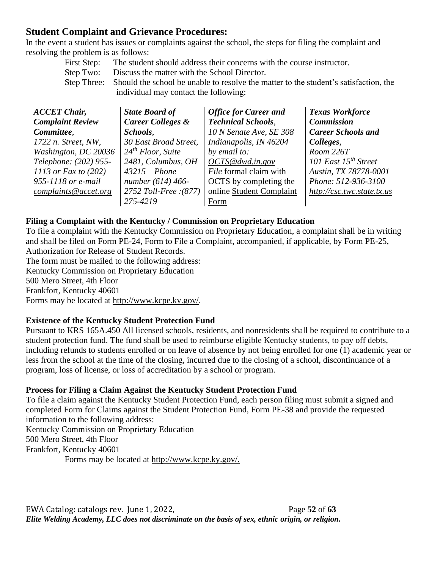## **Student Complaint and Grievance Procedures:**

In the event a student has issues or complaints against the school, the steps for filing the complaint and resolving the problem is as follows: First Step: The student should address their concerns with the course instructor.

| First Step: The student should address their concerns with the course instructor.                |
|--------------------------------------------------------------------------------------------------|
| Step Two: Discuss the matter with the School Director.                                           |
| Step Three: Should the school be unable to resolve the matter to the student's satisfaction, the |
| individual may contact the following:                                                            |

| <b>ACCET Chair,</b>     | <b>State Board of</b>         | <b>Office for Career and</b> | <b>Texas Workforce</b>     |
|-------------------------|-------------------------------|------------------------------|----------------------------|
| <b>Complaint Review</b> | <b>Career Colleges &amp;</b>  | <b>Technical Schools,</b>    | <b>Commission</b>          |
| Committee.              | Schools.                      | 10 N Senate Ave, SE 308      | <b>Career Schools and</b>  |
| 1722 n. Street, NW,     | 30 East Broad Street,         | Indianapolis, IN 46204       | Colleges,                  |
| Washington, DC 20036    | 24 <sup>th</sup> Floor, Suite | by email to:                 | Room 226T                  |
| Telephone: (202) 955-   | 2481, Columbus, OH            | OCTS@dwd.in.gov              | 101 East $15^{th}$ Street  |
| 1113 or Fax to $(202)$  | 43215 Phone                   | File formal claim with       | Austin, TX 78778-0001      |
| 955-1118 or e-mail      | number (614) 466-             | OCTS by completing the       | Phone: 512-936-3100        |
| complaints@accet.org    | 2752 Toll-Free : (877)        | online Student Complaint     | http://csc.twc.state.tx.us |
|                         | 275-4219                      | Form                         |                            |

#### **Filing a Complaint with the Kentucky / Commission on Proprietary Education**

To file a complaint with the Kentucky Commission on Proprietary Education, a complaint shall be in writing and shall be filed on Form PE-24, Form to File a Complaint, accompanied, if applicable, by Form PE-25, Authorization for Release of Student Records.

The form must be mailed to the following address: Kentucky Commission on Proprietary Education 500 Mero Street, 4th Floor Frankfort, Kentucky 40601 Forms may be located at [http://www.kcpe.ky.gov/.](http://www.kcpe.ky.gov/)

#### **Existence of the Kentucky Student Protection Fund**

Pursuant to KRS 165A.450 All licensed schools, residents, and nonresidents shall be required to contribute to a student protection fund. The fund shall be used to reimburse eligible Kentucky students, to pay off debts, including refunds to students enrolled or on leave of absence by not being enrolled for one (1) academic year or less from the school at the time of the closing, incurred due to the closing of a school, discontinuance of a program, loss of license, or loss of accreditation by a school or program.

#### **Process for Filing a Claim Against the Kentucky Student Protection Fund**

To file a claim against the Kentucky Student Protection Fund, each person filing must submit a signed and completed Form for Claims against the Student Protection Fund, Form PE-38 and provide the requested information to the following address: Kentucky Commission on Proprietary Education 500 Mero Street, 4th Floor Frankfort, Kentucky 40601 Forms may be located at http://www.kcpe.ky.gov/.

EWA Catalog: catalogs rev. June 1, 2022, Page **52** of **63** *Elite Welding Academy, LLC does not discriminate on the basis of sex, ethnic origin, or religion.*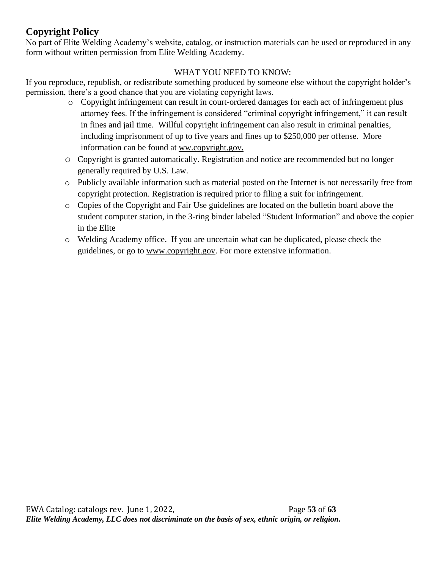# **Copyright Policy**

No part of Elite Welding Academy's website, catalog, or instruction materials can be used or reproduced in any form without written permission from Elite Welding Academy.

#### WHAT YOU NEED TO KNOW:

If you reproduce, republish, or redistribute something produced by someone else without the copyright holder's permission, there's a good chance that you are violating copyright laws.

- o Copyright infringement can result in court-ordered damages for each act of infringement plus attorney fees. If the infringement is considered "criminal copyright infringement," it can result in fines and jail time. Willful copyright infringement can also result in criminal penalties, including imprisonment of up to five years and fines up to \$250,000 per offense. More information can be found at ww.copyright.gov**.**
- o Copyright is granted automatically. Registration and notice are recommended but no longer generally required by U.S. Law.
- o Publicly available information such as material posted on the Internet is not necessarily free from copyright protection. Registration is required prior to filing a suit for infringement.
- o Copies of the Copyright and Fair Use guidelines are located on the bulletin board above the student computer station, in the 3-ring binder labeled "Student Information" and above the copier in the Elite
- o Welding Academy office. If you are uncertain what can be duplicated, please check the guidelines, or go to [www.copyright.gov.](http://www.copyright.gov/) For more extensive information.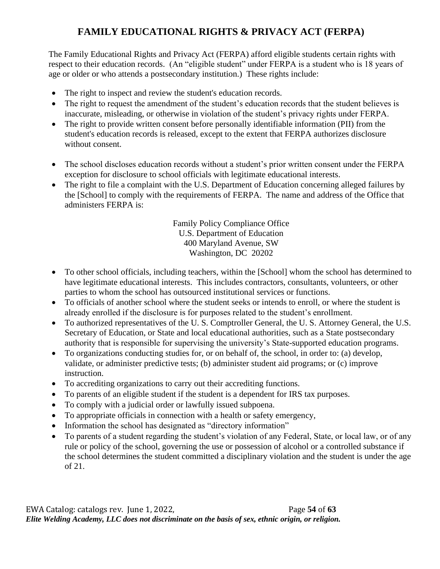# **FAMILY EDUCATIONAL RIGHTS & PRIVACY ACT (FERPA)**

The Family Educational Rights and Privacy Act (FERPA) afford eligible students certain rights with respect to their education records. (An "eligible student" under FERPA is a student who is 18 years of age or older or who attends a postsecondary institution.) These rights include:

- The right to inspect and review the student's education records.
- The right to request the amendment of the student's education records that the student believes is inaccurate, misleading, or otherwise in violation of the student's privacy rights under FERPA.
- The right to provide written consent before personally identifiable information (PII) from the student's education records is released, except to the extent that FERPA authorizes disclosure without consent.
- The school discloses education records without a student's prior written consent under the FERPA exception for disclosure to school officials with legitimate educational interests.
- The right to file a complaint with the U.S. Department of Education concerning alleged failures by the [School] to comply with the requirements of FERPA. The name and address of the Office that administers FERPA is:

Family Policy Compliance Office U.S. Department of Education 400 Maryland Avenue, SW Washington, DC 20202

- To other school officials, including teachers, within the [School] whom the school has determined to have legitimate educational interests. This includes contractors, consultants, volunteers, or other parties to whom the school has outsourced institutional services or functions.
- To officials of another school where the student seeks or intends to enroll, or where the student is already enrolled if the disclosure is for purposes related to the student's enrollment.
- To authorized representatives of the U. S. Comptroller General, the U. S. Attorney General, the U.S. Secretary of Education, or State and local educational authorities, such as a State postsecondary authority that is responsible for supervising the university's State-supported education programs.
- To organizations conducting studies for, or on behalf of, the school, in order to: (a) develop, validate, or administer predictive tests; (b) administer student aid programs; or (c) improve instruction.
- To accrediting organizations to carry out their accrediting functions.
- To parents of an eligible student if the student is a dependent for IRS tax purposes.
- To comply with a judicial order or lawfully issued subpoena.
- To appropriate officials in connection with a health or safety emergency,
- Information the school has designated as "directory information"
- To parents of a student regarding the student's violation of any Federal, State, or local law, or of any rule or policy of the school, governing the use or possession of alcohol or a controlled substance if the school determines the student committed a disciplinary violation and the student is under the age of 21.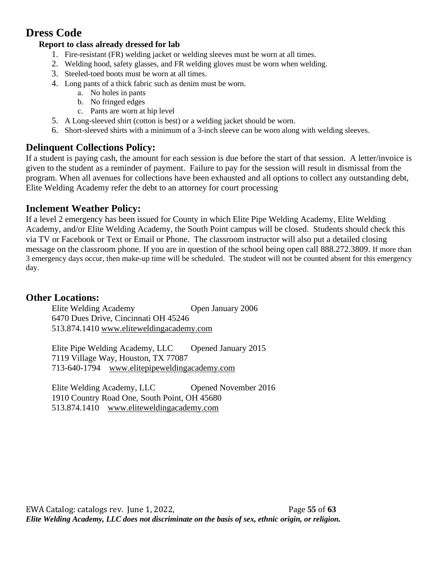# **Dress Code**

## **Report to class already dressed for lab**

- 1. Fire-resistant (FR) welding jacket or welding sleeves must be worn at all times.
- 2. Welding hood, safety glasses, and FR welding gloves must be worn when welding.
- 3. Steeled-toed boots must be worn at all times.
- 4. Long pants of a thick fabric such as denim must be worn.
	- a. No holes in pants
	- b. No fringed edges
	- c. Pants are worn at hip level
- 5. A Long-sleeved shirt (cotton is best) or a welding jacket should be worn.
- 6. Short-sleeved shirts with a minimum of a 3-inch sleeve can be worn along with welding sleeves.

# **Delinquent Collections Policy:**

If a student is paying cash, the amount for each session is due before the start of that session. A letter/invoice is given to the student as a reminder of payment. Failure to pay for the session will result in dismissal from the program. When all avenues for collections have been exhausted and all options to collect any outstanding debt, Elite Welding Academy refer the debt to an attorney for court processing

# **Inclement Weather Policy:**

If a level 2 emergency has been issued for County in which Elite Pipe Welding Academy, Elite Welding Academy, and/or Elite Welding Academy, the South Point campus will be closed. Students should check this via TV or Facebook or Text or Email or Phone. The classroom instructor will also put a detailed closing message on the classroom phone. If you are in question of the school being open call 888.272.3809. If more than 3 emergency days occur, then make-up time will be scheduled. The student will not be counted absent for this emergency day.

# **Other Locations:**

Elite Welding Academy Open January 2006 6470 Dues Drive, Cincinnati OH 45246 513.874.1410 [www.eliteweldingacademy.com](http://www.eliteweldingacademy.com/)

Elite Pipe Welding Academy, LLC Opened January 2015 7119 Village Way, Houston, TX 77087 713-640-1794 www.elitepipeweldingacademy.com

Elite Welding Academy, LLC Opened November 2016 1910 Country Road One, South Point, OH 45680 513.874.1410 www.eliteweldingacademy.com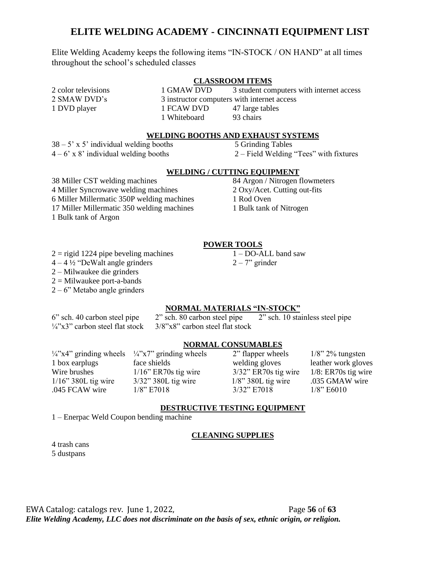#### **ELITE WELDING ACADEMY - CINCINNATI EQUIPMENT LIST**

Elite Welding Academy keeps the following items "IN-STOCK / ON HAND" at all times throughout the school's scheduled classes

#### **CLASSROOM ITEMS**

2 color televisions 1 GMAW DVD 3 student computers with internet access 2 SMAW DVD's 3 instructor computers with internet access 1 DVD player 1 FCAW DVD 47 large tables 1 Whiteboard 93 chairs

#### **WELDING BOOTHS AND EXHAUST SYSTEMS**

 $38 - 5'$  x 5' individual welding booths 5 Grinding Tables  $4 - 6$ ' x 8' individual welding booths  $2 -$  Field Welding "Tees" with fixtures

#### **WELDING / CUTTING EQUIPMENT**

38 Miller CST welding machines 84 Argon / Nitrogen flowmeters 4 Miller Syncrowave welding machines 2 Oxy/Acet. Cutting out-fits 6 Miller Millermatic 350P welding machines 1 Rod Oven 17 Miller Millermatic 350 welding machines 1 Bulk tank of Nitrogen 1 Bulk tank of Argon

#### **POWER TOOLS**

- $2 =$  rigid 1224 pipe beveling machines 1 DO-ALL band saw
- $4 4\frac{1}{2}$  "DeWalt angle grinders 2 7" grinder
- 2 Milwaukee die grinders
- $2 =$ Milwaukee port-a-bands
- $2 6$ " Metabo angle grinders

#### **NORMAL MATERIALS "IN-STOCK"**

6" sch. 40 carbon steel pipe 2" sch. 80 carbon steel pipe 2" sch. 10 stainless steel pipe  $\frac{1}{4}$ "x3" carbon steel flat stock  $\frac{3}{8}$ "x8" carbon steel flat stock

#### **NORMAL CONSUMABLES**

 $\frac{1}{4}$ "x4" grinding wheels  $\frac{1}{4}$ "x7" grinding wheels 2" flapper wheels 1/8" 2% tungsten 1 box earplugs face shields welding gloves leather work gloves Wire brushes 1/16" ER70s tig wire 3/32" ER70s tig wire 1/8: ER70s tig wire 1/16" 380L tig wire 3/32" 380L tig wire 1/8" 380L tig wire .035 GMAW wire .045 FCAW wire 1/8" E7018 3/32" E7018 1/8" E6010

#### **DESTRUCTIVE TESTING EQUIPMENT**

1 – Enerpac Weld Coupon bending machine

#### **CLEANING SUPPLIES**

4 trash cans 5 dustpans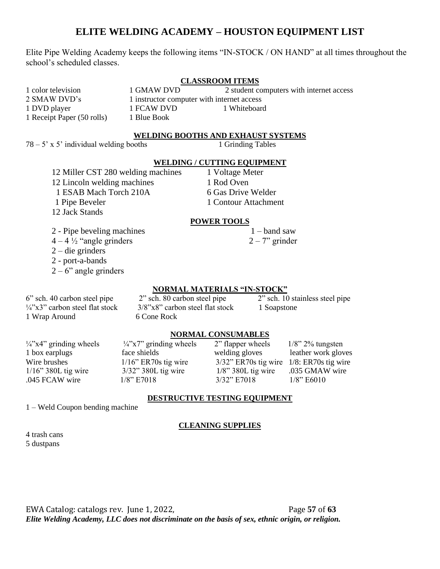#### **ELITE WELDING ACADEMY – HOUSTON EQUIPMENT LIST**

Elite Pipe Welding Academy keeps the following items "IN-STOCK / ON HAND" at all times throughout the school's scheduled classes.

#### **CLASSROOM ITEMS**

1 color television 1 GMAW DVD 2 student computers with internet access 2 SMAW DVD's 1 instructor computer with internet access 1 DVD player 1 FCAW DVD 1 Whiteboard 1 Receipt Paper (50 rolls) 1 Blue Book

#### **WELDING BOOTHS AND EXHAUST SYSTEMS**

 $78 - 5$ ' x 5' individual welding booths 1 Grinding Tables

#### **WELDING / CUTTING EQUIPMENT**

12 Miller CST 280 welding machines 1 Voltage Meter 12 Lincoln welding machines 1 Rod Oven 1 ESAB Mach Torch 210A 6 Gas Drive Welder 1 Pipe Beveler 1 Contour Attachment 12 Jack Stands

2 - Pipe beveling machines  $1 -$ band saw

- $4 4\frac{1}{2}$  "angle grinders  $2 7$ " grinder
- 2 die grinders

2 - port-a-bands

 $2 - 6$ " angle grinders

#### **POWER TOOLS**

#### **NORMAL MATERIALS "IN-STOCK"**

6" sch. 40 carbon steel pipe 2" sch. 80 carbon steel pipe 2" sch. 10 stainless steel pipe  $\frac{1}{4}$ "x3" carbon steel flat stock 3/8"x8" carbon steel flat stock 1 Soapstone 1 Wrap Around 6 Cone Rock

#### **NORMAL CONSUMABLES**

| $\frac{1}{4}$ x4" grinding wheels | $\frac{1}{4}$ "x7" grinding wheels | 2" flapper wheels                              | $1/8$ " 2% tungsten |
|-----------------------------------|------------------------------------|------------------------------------------------|---------------------|
| 1 box earplugs                    | face shields                       | welding gloves                                 | leather work gloves |
| Wire brushes                      | $1/16$ " ER70s tig wire            | $3/32$ " ER70s tig wire $1/8$ : ER70s tig wire |                     |
| $1/16$ " 380L tig wire            | $3/32$ " 380L tig wire             | $1/8$ " 380L tig wire                          | .035 GMAW wire      |
| .045 FCAW wire                    | $1/8$ " E7018                      | 3/32" E7018                                    | $1/8$ " E6010       |

#### **DESTRUCTIVE TESTING EQUIPMENT**

1 – Weld Coupon bending machine

#### **CLEANING SUPPLIES**

4 trash cans 5 dustpans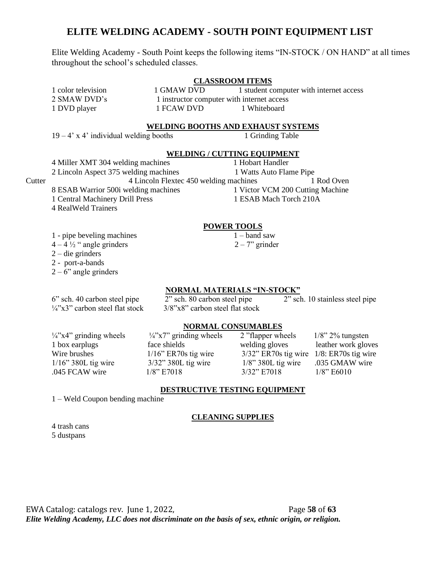#### **ELITE WELDING ACADEMY - SOUTH POINT EQUIPMENT LIST**

Elite Welding Academy - South Point keeps the following items "IN-STOCK / ON HAND" at all times throughout the school's scheduled classes.

#### **CLASSROOM ITEMS**

1 color television 1 GMAW DVD 1 student computer with internet access 2 SMAW DVD's 1 instructor computer with internet access 1 DVD player 1 FCAW DVD 1 Whiteboard

#### **WELDING BOOTHS AND EXHAUST SYSTEMS**

 $19 - 4$ ' x 4' individual welding booths 1 Grinding Table

#### **WELDING / CUTTING EQUIPMENT**

4 Miller XMT 304 welding machines 1 Hobart Handler 2 Lincoln Aspect 375 welding machines 1 Watts Auto Flame Pipe Cutter 4 Lincoln Flextec 450 welding machines 1 Rod Oven 8 ESAB Warrior 500i welding machines 1 Victor VCM 200 Cutting Machine 1 Central Machinery Drill Press 1 ESAB Mach Torch 210A 4 RealWeld Trainers

#### **POWER TOOLS**

- 1 pipe beveling machines 1 band saw
- $4 4\frac{1}{2}$  " angle grinders  $2 7$ " grinder

#### **NORMAL MATERIALS "IN-STOCK"**

**NORMAL CONSUMABLES**

6" sch. 40 carbon steel pipe 2" sch. 80 carbon steel pipe 2" sch. 10 stainless steel pipe  $\frac{1}{4}$ "x3" carbon steel flat stock  $\frac{3}{8}$ "x8" carbon steel flat stock

2 – die grinders 2 - port-a-bands  $2 - 6$ " angle grinders

 $\frac{1}{4}$ "x4" grinding wheels  $\frac{1}{4}$ "x7" grinding wheels 2 "flapper wheels 1/8" 2% tungsten 1 box earplugs face shields welding gloves leather work gloves Wire brushes 1/16" ER70s tig wire 3/32" ER70s tig wire 1/8: ER70s tig wire 1/16" 380L tig wire 3/32" 380L tig wire 1/8" 380L tig wire .035 GMAW wire .045 FCAW wire 1/8" E7018 3/32" E7018 1/8" E6010

#### **DESTRUCTIVE TESTING EQUIPMENT**

1 – Weld Coupon bending machine

#### **CLEANING SUPPLIES**

4 trash cans 5 dustpans

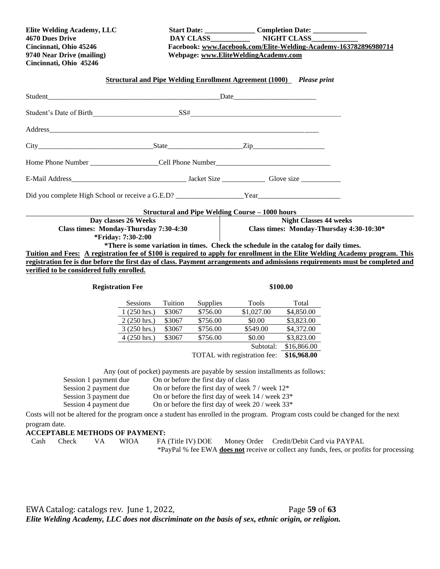**Cincinnati, Ohio 45246**

**Elite Welding Academy, LLC Start Date: \_\_\_\_\_\_\_\_\_\_\_\_\_\_ Completion Date: \_\_\_\_\_\_\_\_\_\_\_\_\_\_\_ 4670 Dues Drive DAY CLASS\_\_\_\_\_\_\_\_\_\_\_ NIGHT CLASS\_\_\_\_\_\_\_\_\_\_\_\_\_ Cincinnati, Ohio 45246 Facebook: [www.facebook.com/Elite-Welding-Academy-163782896980714](http://www.facebook.com/Elite-Welding-Academy-163782896980714) 9740 Near Drive (mailing) Webpage: [www.EliteWeldingAcademy.com](http://www.eliteweldingacademy.com/)**

# **Structural and Pipe Welding Enrollment Agreement (1000)** *Please print* Student and the student of the student student and the student student student in  $\Gamma$ Student's Date of Birth  $SSH$ Address  $City$   $City$   $Zip$   $Zip$ Home Phone Number \_\_\_\_\_\_\_\_\_\_\_\_\_\_\_\_\_\_\_Cell Phone Number\_\_\_\_\_\_\_\_\_\_\_\_\_\_\_\_\_\_\_\_\_\_\_\_\_\_\_\_\_\_\_\_ E-Mail Address\_\_\_\_\_\_\_\_\_\_\_\_\_\_\_\_\_\_\_\_\_\_\_\_\_\_\_\_\_\_\_\_ Jacket Size \_\_\_\_\_\_\_\_\_\_\_\_ Glove size \_\_\_\_\_\_\_\_\_\_\_ Did you complete High School or receive a G.E.D? \_\_\_\_\_\_\_\_\_\_\_\_\_\_\_\_\_\_\_Year\_\_\_\_\_\_\_\_\_\_\_\_\_\_\_\_\_\_\_\_\_\_\_ **Structural and Pipe Welding Course – 1000 hours Day classes 26 Weeks Class times: Monday-Thursday 7:30-4:30 \*Friday: 7:30-2:00 Night Classes 44 weeks Class times: Monday-Thursday 4:30-10:30\* \*There is some variation in times. Check the schedule in the catalog for daily times. Tuition and Fees: A registration fee of \$100 is required to apply for enrollment in the Elite Welding Academy program. This registration fee is due before the first day of class. Payment arrangements and admissions requirements must be completed and verified to be considered fully enrolled. Registration Fee** \$100.00 Sessions Tuition Supplies Tools Total 1 (250 hrs.) \$3067 \$756.00 \$1,027.00 \$4,850.00

| Sessions              | 1 uition | Supplies | 1 OOIS     | 1 otal      |
|-----------------------|----------|----------|------------|-------------|
| $1(250 \text{ hrs.})$ | \$3067   | \$756.00 | \$1,027.00 | \$4,850.00  |
| $2(250 \text{ hrs.})$ | \$3067   | \$756.00 | \$0.00     | \$3,823.00  |
| $3(250 \text{ hrs.})$ | \$3067   | \$756.00 | \$549.00   | \$4,372.00  |
| $4(250 \text{ hrs.})$ | \$3067   | \$756.00 | \$0.00     | \$3,823.00  |
|                       |          |          | Subtotal:  | \$16,866.00 |
|                       |          |          |            |             |

TOTAL with registration fee: **\$16,968.00**

Any (out of pocket) payments are payable by session installments as follows:

Session 1 payment due On or before the first day of class Session 2 payment due On or before the first day of week  $7 /$  week  $12^*$ Session 3 payment due On or before the first day of week 14 / week  $23^*$ Session 4 payment due On or before the first day of week 20 / week 33\*

Costs will not be altered for the program once a student has enrolled in the program. Program costs could be changed for the next

program date.

# **ACCEPTABLE METHODS OF PAYMENT:**<br>Cash Check VA WIOA FA

FA (Title IV) DOE Money Order Credit/Debit Card via PAYPAL \*PayPal % fee EWA **does not** receive or collect any funds, fees, or profits for processing

EWA Catalog: catalogs rev. June 1, 2022, Page **59** of **63** *Elite Welding Academy, LLC does not discriminate on the basis of sex, ethnic origin, or religion.*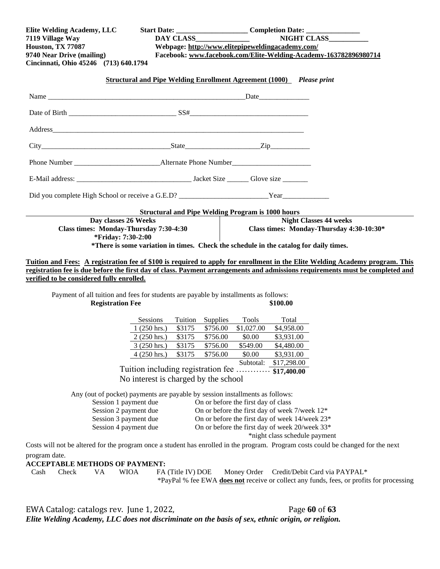| Elite Welding Academy, LLC<br>7119 Village Way<br><b>Houston, TX 77087</b><br>9740 Near Drive (mailing)<br>Cincinnati, Ohio 45246 (713) 640.1794 | DAY CLASS                                                                                                                                                                                                    | Webpage: http://www.elitepipeweldingacademy.com/                                                                                                                                         | NIGHT CLASS<br>Facebook: www.facebook.com/Elite-Welding-Academy-163782896980714                                                       |
|--------------------------------------------------------------------------------------------------------------------------------------------------|--------------------------------------------------------------------------------------------------------------------------------------------------------------------------------------------------------------|------------------------------------------------------------------------------------------------------------------------------------------------------------------------------------------|---------------------------------------------------------------------------------------------------------------------------------------|
|                                                                                                                                                  | Structural and Pipe Welding Enrollment Agreement (1000) Please print                                                                                                                                         |                                                                                                                                                                                          |                                                                                                                                       |
|                                                                                                                                                  |                                                                                                                                                                                                              |                                                                                                                                                                                          |                                                                                                                                       |
|                                                                                                                                                  |                                                                                                                                                                                                              |                                                                                                                                                                                          |                                                                                                                                       |
|                                                                                                                                                  |                                                                                                                                                                                                              |                                                                                                                                                                                          |                                                                                                                                       |
|                                                                                                                                                  |                                                                                                                                                                                                              |                                                                                                                                                                                          |                                                                                                                                       |
|                                                                                                                                                  |                                                                                                                                                                                                              |                                                                                                                                                                                          |                                                                                                                                       |
|                                                                                                                                                  |                                                                                                                                                                                                              |                                                                                                                                                                                          |                                                                                                                                       |
| Did you complete High School or receive a G.E.D? ___________________________Year                                                                 |                                                                                                                                                                                                              |                                                                                                                                                                                          |                                                                                                                                       |
|                                                                                                                                                  | <b>Structural and Pipe Welding Program is 1000 hours</b>                                                                                                                                                     |                                                                                                                                                                                          |                                                                                                                                       |
| Day classes 26 Weeks<br>Class times: Monday-Thursday 7:30-4:30<br>*Friday: 7:30-2:00                                                             | *There is some variation in times. Check the schedule in the catalog for daily times.                                                                                                                        |                                                                                                                                                                                          | <b>Night Classes 44 weeks</b><br>Class times: Monday-Thursday 4:30-10:30*                                                             |
| verified to be considered fully enrolled.<br><b>Registration Fee</b>                                                                             | Payment of all tuition and fees for students are payable by installments as follows:                                                                                                                         | \$100.00                                                                                                                                                                                 |                                                                                                                                       |
|                                                                                                                                                  | <b>Sessions</b><br>Tuition Supplies<br>\$3175<br>$1(250 \text{ hrs.})$<br>$2(250 \text{ hrs.})$<br>\$3175<br>\$3175<br>3 (250 hrs.)<br>\$3175<br>$4(250 \text{ hrs.})$<br>Tuition including registration fee | Tools<br>\$756.00<br>\$1,027.00<br>\$756.00<br>\$0.00<br>\$549.00<br>\$756.00<br>\$756.00<br>\$0.00<br>Subtotal:                                                                         | Total<br>\$4,958.00<br>\$3,931.00<br>\$4,480.00<br>\$3,931.00<br>\$17,298.00<br>\$17,400.00                                           |
|                                                                                                                                                  | No interest is charged by the school                                                                                                                                                                         |                                                                                                                                                                                          |                                                                                                                                       |
| Session 1 payment due<br>Session 2 payment due<br>Session 3 payment due<br>Session 4 payment due                                                 | Any (out of pocket) payments are payable by session installments as follows:                                                                                                                                 | On or before the first day of class<br>On or before the first day of week 7/week 12*<br>On or before the first day of week 14/week 23*<br>On or before the first day of week 20/week 33* | *night class schedule payment                                                                                                         |
| program date.                                                                                                                                    |                                                                                                                                                                                                              |                                                                                                                                                                                          | Costs will not be altered for the program once a student has enrolled in the program. Program costs could be changed for the next     |
| <b>ACCEPTABLE METHODS OF PAYMENT:</b>                                                                                                            |                                                                                                                                                                                                              |                                                                                                                                                                                          |                                                                                                                                       |
| VA<br>Cash<br>Check                                                                                                                              | <b>WIOA</b><br>FA (Title IV) DOE                                                                                                                                                                             |                                                                                                                                                                                          | Money Order Credit/Debit Card via PAYPAL*<br>*PayPal % fee EWA does not receive or collect any funds, fees, or profits for processing |
| EWA Catalog: catalogs rev. June 1, 2022,                                                                                                         |                                                                                                                                                                                                              |                                                                                                                                                                                          | Page 60 of 63                                                                                                                         |

*Elite Welding Academy, LLC does not discriminate on the basis of sex, ethnic origin, or religion.*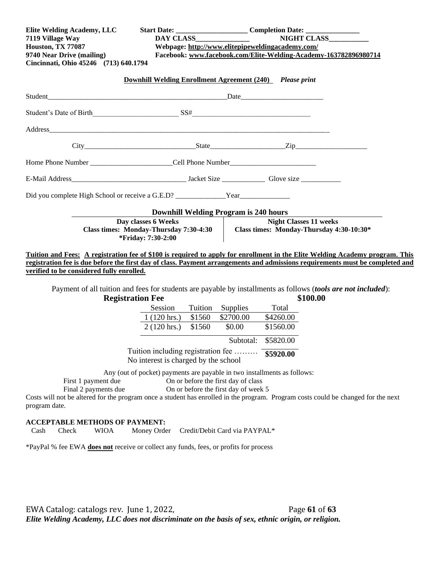| Elite Welding Academy, LLC<br>7119 Village Way  |                                                                                      |                                      | Start Date: _________________________________Completion Date: ___________________<br><b>NIGHT CLASS</b>                           |  |
|-------------------------------------------------|--------------------------------------------------------------------------------------|--------------------------------------|-----------------------------------------------------------------------------------------------------------------------------------|--|
| Houston, TX 77087                               | Webpage: http://www.elitepipeweldingacademy.com/                                     |                                      |                                                                                                                                   |  |
| 9740 Near Drive (mailing)                       |                                                                                      |                                      | Facebook: www.facebook.com/Elite-Welding-Academy-163782896980714                                                                  |  |
| Cincinnati, Ohio 45246 (713) 640.1794           |                                                                                      |                                      |                                                                                                                                   |  |
|                                                 | <b>Downhill Welding Enrollment Agreement (240)</b> Please print                      |                                      |                                                                                                                                   |  |
|                                                 |                                                                                      |                                      |                                                                                                                                   |  |
| Student's Date of Birth Student's Date of Birth |                                                                                      |                                      |                                                                                                                                   |  |
|                                                 |                                                                                      |                                      |                                                                                                                                   |  |
|                                                 |                                                                                      |                                      |                                                                                                                                   |  |
|                                                 |                                                                                      |                                      |                                                                                                                                   |  |
|                                                 |                                                                                      |                                      |                                                                                                                                   |  |
|                                                 |                                                                                      |                                      |                                                                                                                                   |  |
|                                                 | <b>Downhill Welding Program is 240 hours</b>                                         |                                      |                                                                                                                                   |  |
|                                                 | Day classes 6 Weeks                                                                  |                                      | <b>Night Classes 11 weeks</b>                                                                                                     |  |
|                                                 | Class times: Monday-Thursday 7:30-4:30<br>*Friday: 7:30-2:00                         |                                      | Class times: Monday-Thursday 4:30-10:30*                                                                                          |  |
|                                                 |                                                                                      |                                      |                                                                                                                                   |  |
|                                                 |                                                                                      |                                      | Tuition and Fees: A registration fee of \$100 is required to apply for enrollment in the Elite Welding Academy program. This      |  |
|                                                 |                                                                                      |                                      | registration fee is due before the first day of class. Payment arrangements and admissions requirements must be completed and     |  |
| verified to be considered fully enrolled.       |                                                                                      |                                      |                                                                                                                                   |  |
|                                                 |                                                                                      |                                      | Payment of all tuition and fees for students are payable by installments as follows (tools are not included):                     |  |
| <b>Registration Fee</b>                         |                                                                                      | Tuition Supplies                     | \$100.00<br>Total                                                                                                                 |  |
|                                                 | Session<br>$1(120 \text{ hrs.})$<br>\$1560                                           | \$2700.00                            | \$4260.00                                                                                                                         |  |
|                                                 | \$1560<br>$2(120 \text{ hrs.})$                                                      | \$0.00                               | \$1560.00                                                                                                                         |  |
|                                                 |                                                                                      |                                      |                                                                                                                                   |  |
|                                                 |                                                                                      | Subtotal: \$5820.00                  |                                                                                                                                   |  |
|                                                 | Tuition including registration fee  55920.00<br>No interest is charged by the school |                                      |                                                                                                                                   |  |
|                                                 | Any (out of pocket) payments are payable in two installments as follows:             |                                      |                                                                                                                                   |  |
| First 1 payment due                             | On or before the first day of class                                                  |                                      |                                                                                                                                   |  |
| Final 2 payments due                            |                                                                                      | On or before the first day of week 5 |                                                                                                                                   |  |
| program date.                                   |                                                                                      |                                      | Costs will not be altered for the program once a student has enrolled in the program. Program costs could be changed for the next |  |

# **ACCEPTABLE METHODS OF PAYMENT:**<br>Cash Check WIOA Money Orde

Check WIOA Money Order Credit/Debit Card via PAYPAL\*

\*PayPal % fee EWA **does not** receive or collect any funds, fees, or profits for process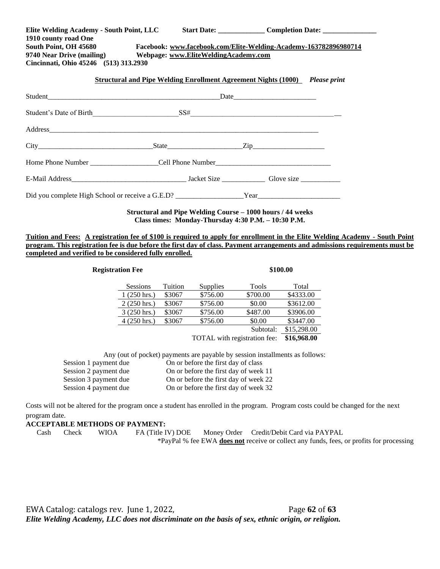| Elite Welding Academy - South Point, LLC<br>1910 county road One<br>South Point, OH 45680 Facebook: www.facebook.com/Elite-Welding-Academy-163782896980714<br>9740 Near Drive (mailing) Webpage: www.EliteWeldingAcademy.com<br>Cincinnati, Ohio 45246 (513) 313.2930 |  | Start Date: ____________________ Completion Date: _______________________________  |
|-----------------------------------------------------------------------------------------------------------------------------------------------------------------------------------------------------------------------------------------------------------------------|--|------------------------------------------------------------------------------------|
|                                                                                                                                                                                                                                                                       |  | <b>Structural and Pipe Welding Enrollment Agreement Nights (1000)</b> Please print |
|                                                                                                                                                                                                                                                                       |  |                                                                                    |
|                                                                                                                                                                                                                                                                       |  |                                                                                    |
|                                                                                                                                                                                                                                                                       |  |                                                                                    |
| $\text{City}$ $\qquad \qquad \text{State}$ $\qquad \qquad \text{Zip}$                                                                                                                                                                                                 |  |                                                                                    |
|                                                                                                                                                                                                                                                                       |  |                                                                                    |
|                                                                                                                                                                                                                                                                       |  |                                                                                    |
|                                                                                                                                                                                                                                                                       |  |                                                                                    |

**Structural and Pipe Welding Course – 1000 hours / 44 weeks Class times: Monday-Thursday 4:30 P.M. – 10:30 P.M.**

**Tuition and Fees: A registration fee of \$100 is required to apply for enrollment in the Elite Welding Academy - South Point program. This registration fee is due before the first day of class. Payment arrangements and admissions requirements must be completed and verified to be considered fully enrolled.** 

| <b>Registration Fee</b> |         |                              | \$100.00  |             |  |
|-------------------------|---------|------------------------------|-----------|-------------|--|
| <b>Sessions</b>         | Tuition | Supplies                     | Tools     | Total       |  |
| $1(250 \text{ hrs.})$   | \$3067  | \$756.00                     | \$700.00  | \$4333.00   |  |
| $2(250 \text{ hrs.})$   | \$3067  | \$756.00                     | \$0.00    | \$3612.00   |  |
| $3(250 \text{ hrs.})$   | \$3067  | \$756.00                     | \$487.00  | \$3906.00   |  |
| $4(250 \text{ hrs.})$   | \$3067  | \$756.00                     | \$0.00    | \$3447.00   |  |
|                         |         |                              | Subtotal: | \$15,298.00 |  |
|                         |         | TOTAL with registration fee: |           | \$16,968.00 |  |

Session 1 payment due On or before the first day of class

| Session 2 payment due | On or before the first day of week 11 |
|-----------------------|---------------------------------------|
| Session 3 payment due | On or before the first day of week 22 |
| Session 4 payment due | On or before the first day of week 32 |

Costs will not be altered for the program once a student has enrolled in the program. Program costs could be changed for the next program date.

**ACCEPTABLE METHODS OF PAYMENT:**

 Cash Check WIOA FA (Title IV) DOE Money Order Credit/Debit Card via PAYPAL \*PayPal % fee EWA **does not** receive or collect any funds, fees, or profits for processing

EWA Catalog: catalogs rev. June 1, 2022, Page 62 of 63 *Elite Welding Academy, LLC does not discriminate on the basis of sex, ethnic origin, or religion.*